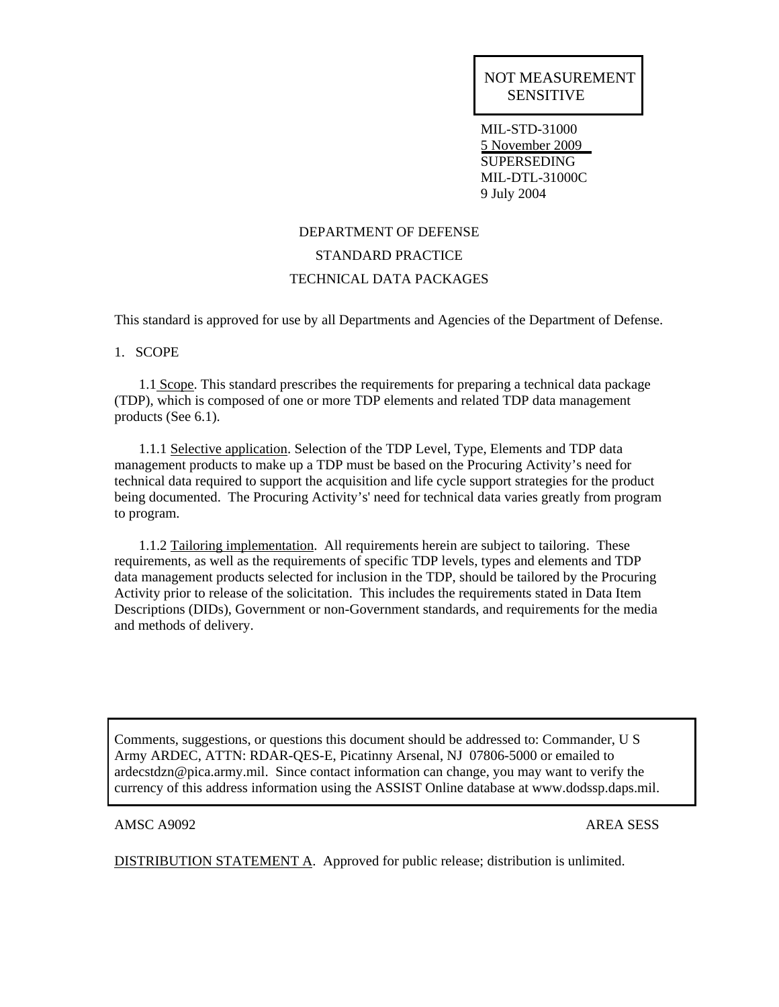MIL-STD-31000 5 November 2009 **SUPERSEDING** MIL-DTL-31000C 9 July 2004

# DEPARTMENT OF DEFENSE STANDARD PRACTICE TECHNICAL DATA PACKAGES

This standard is approved for use by all Departments and Agencies of the Department of Defense.

1. SCOPE

 1.1 Scope. This standard prescribes the requirements for preparing a technical data package (TDP), which is composed of one or more TDP elements and related TDP data management products (See 6.1).

 1.1.1 Selective application. Selection of the TDP Level, Type, Elements and TDP data management products to make up a TDP must be based on the Procuring Activity's need for technical data required to support the acquisition and life cycle support strategies for the product being documented. The Procuring Activity's' need for technical data varies greatly from program to program.

 1.1.2 Tailoring implementation. All requirements herein are subject to tailoring. These requirements, as well as the requirements of specific TDP levels, types and elements and TDP data management products selected for inclusion in the TDP, should be tailored by the Procuring Activity prior to release of the solicitation. This includes the requirements stated in Data Item Descriptions (DIDs), Government or non-Government standards, and requirements for the media and methods of delivery.

Comments, suggestions, or questions this document should be addressed to: Commander, U S Army ARDEC, ATTN: RDAR-QES-E, Picatinny Arsenal, NJ 07806-5000 or emailed to ardecstdzn@pica.army.mil. Since contact information can change, you may want to verify the currency of this address information using the ASSIST Online database at www.dodssp.daps.mil.

## AMSC A9092 **AREA SESS**

j

DISTRIBUTION STATEMENT A. Approved for public release; distribution is unlimited.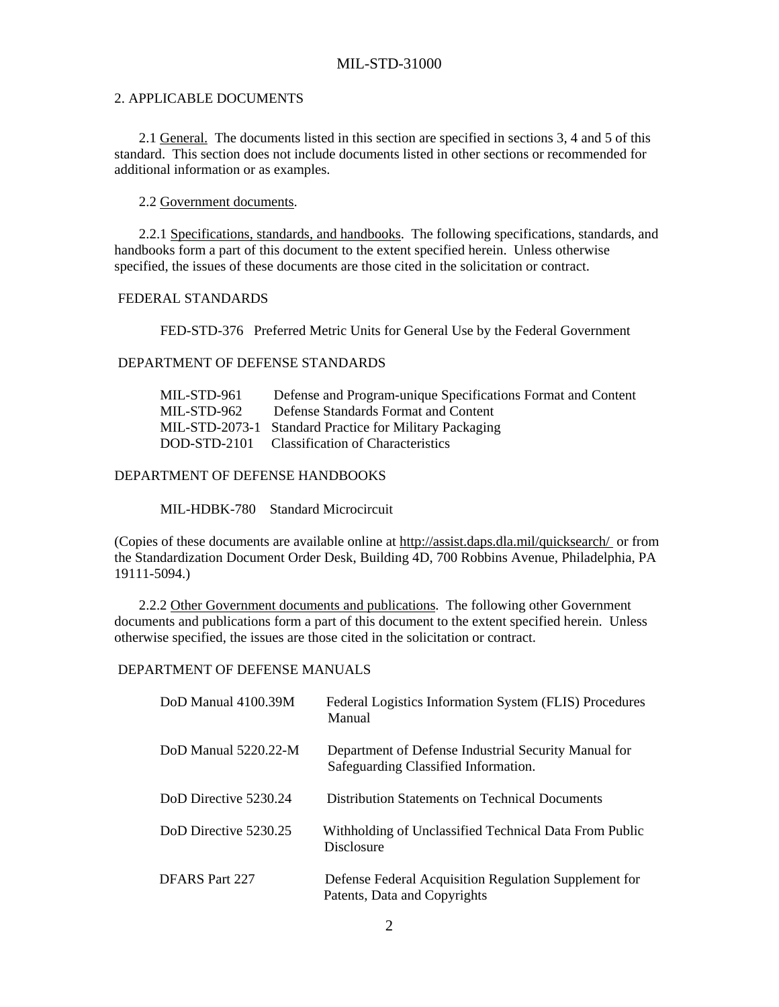#### 2. APPLICABLE DOCUMENTS

 2.1 General. The documents listed in this section are specified in sections 3, 4 and 5 of this standard. This section does not include documents listed in other sections or recommended for additional information or as examples.

2.2 Government documents.

 2.2.1 Specifications, standards, and handbooks. The following specifications, standards, and handbooks form a part of this document to the extent specified herein. Unless otherwise specified, the issues of these documents are those cited in the solicitation or contract.

#### FEDERAL STANDARDS

FED-STD-376 Preferred Metric Units for General Use by the Federal Government

#### DEPARTMENT OF DEFENSE STANDARDS

| MIL-STD-961 | Defense and Program-unique Specifications Format and Content |
|-------------|--------------------------------------------------------------|
| MIL-STD-962 | Defense Standards Format and Content                         |
|             | MIL-STD-2073-1 Standard Practice for Military Packaging      |
|             | DOD-STD-2101 Classification of Characteristics               |

#### DEPARTMENT OF DEFENSE HANDBOOKS

MIL-HDBK-780 Standard Microcircuit

(Copies of these documents are available online at http://assist.daps.dla.mil/quicksearch/ or from the Standardization Document Order Desk, Building 4D, 700 Robbins Avenue, Philadelphia, PA 19111-5094.)

 2.2.2 Other Government documents and publications. The following other Government documents and publications form a part of this document to the extent specified herein. Unless otherwise specified, the issues are those cited in the solicitation or contract.

#### DEPARTMENT OF DEFENSE MANUALS

| DoD Manual 4100.39M   | Federal Logistics Information System (FLIS) Procedures<br>Manual                             |
|-----------------------|----------------------------------------------------------------------------------------------|
| DoD Manual 5220.22-M  | Department of Defense Industrial Security Manual for<br>Safeguarding Classified Information. |
| DoD Directive 5230.24 | Distribution Statements on Technical Documents                                               |
| DoD Directive 5230.25 | Withholding of Unclassified Technical Data From Public<br>Disclosure                         |
| DFARS Part 227        | Defense Federal Acquisition Regulation Supplement for<br>Patents, Data and Copyrights        |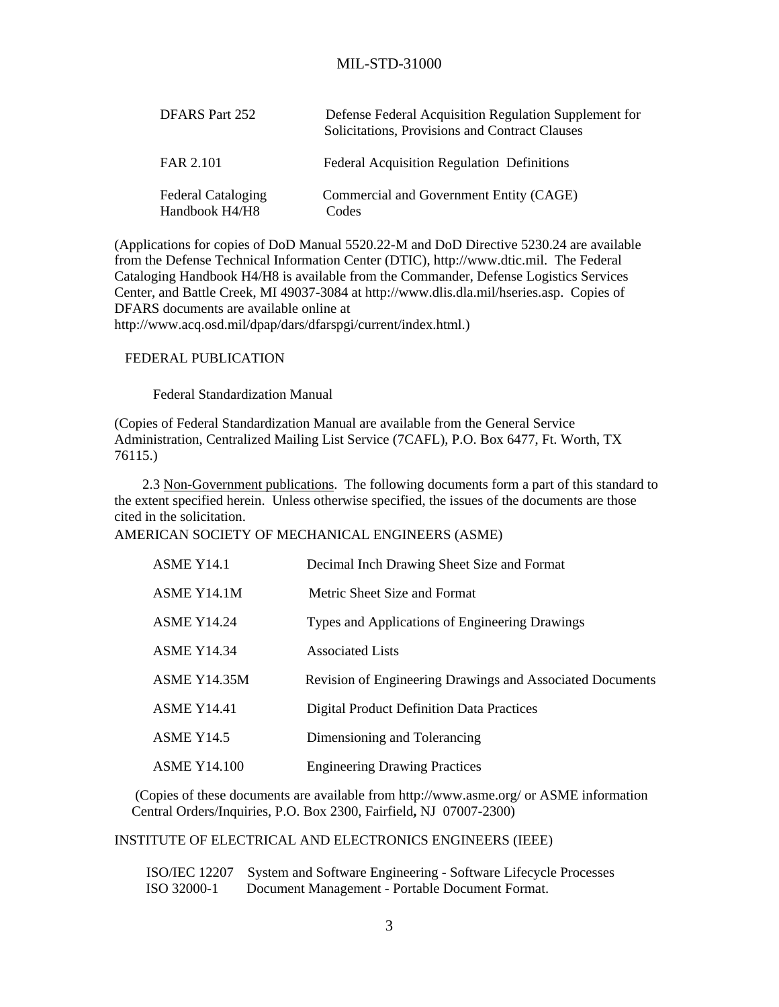| DFARS Part 252                              | Defense Federal Acquisition Regulation Supplement for<br>Solicitations, Provisions and Contract Clauses |
|---------------------------------------------|---------------------------------------------------------------------------------------------------------|
| FAR 2.101                                   | <b>Federal Acquisition Regulation Definitions</b>                                                       |
| <b>Federal Cataloging</b><br>Handbook H4/H8 | Commercial and Government Entity (CAGE)<br>Codes                                                        |

(Applications for copies of DoD Manual 5520.22-M and DoD Directive 5230.24 are available from the Defense Technical Information Center (DTIC), http://www.dtic.mil. The Federal Cataloging Handbook H4/H8 is available from the Commander, Defense Logistics Services Center, and Battle Creek, MI 49037-3084 at http://www.dlis.dla.mil/hseries.asp. Copies of DFARS documents are available online at http://www.acq.osd.mil/dpap/dars/dfarspgi/current/index.html.)

#### FEDERAL PUBLICATION

Federal Standardization Manual

(Copies of Federal Standardization Manual are available from the General Service Administration, Centralized Mailing List Service (7CAFL), P.O. Box 6477, Ft. Worth, TX 76115.)

2.3 Non-Government publications. The following documents form a part of this standard to the extent specified herein. Unless otherwise specified, the issues of the documents are those cited in the solicitation.

## AMERICAN SOCIETY OF MECHANICAL ENGINEERS (ASME)

| ASME Y14.1          | Decimal Inch Drawing Sheet Size and Format                       |
|---------------------|------------------------------------------------------------------|
| ASME Y14.1M         | Metric Sheet Size and Format                                     |
| <b>ASME Y14.24</b>  | Types and Applications of Engineering Drawings                   |
| <b>ASME Y14.34</b>  | Associated Lists                                                 |
| <b>ASME Y14.35M</b> | <b>Revision of Engineering Drawings and Associated Documents</b> |
| <b>ASME Y14.41</b>  | <b>Digital Product Definition Data Practices</b>                 |
| <b>ASME Y14.5</b>   | Dimensioning and Tolerancing                                     |
| <b>ASME Y14.100</b> | <b>Engineering Drawing Practices</b>                             |

 (Copies of these documents are available from http://www.asme.org/ or ASME information Central Orders/Inquiries, P.O. Box 2300, Fairfield**,** NJ 07007-2300)

## INSTITUTE OF ELECTRICAL AND ELECTRONICS ENGINEERS (IEEE)

 ISO/IEC 12207 System and Software Engineering - Software Lifecycle Processes ISO 32000-1 Document Management - Portable Document Format.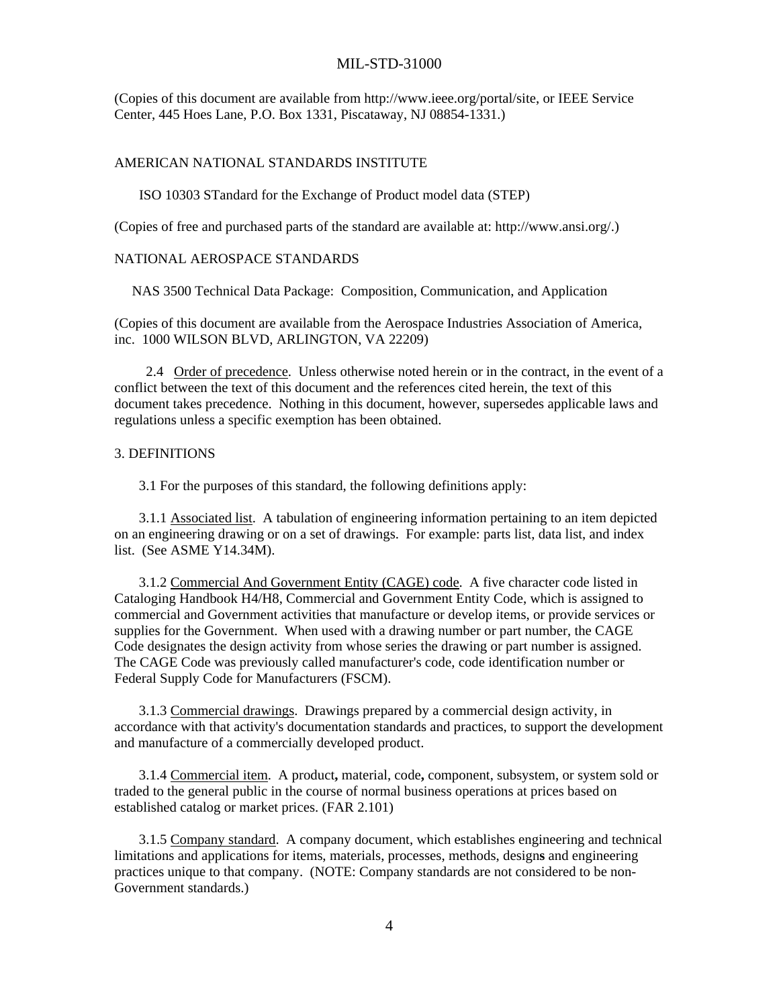(Copies of this document are available from http://www.ieee.org/portal/site, or IEEE Service Center, 445 Hoes Lane, P.O. Box 1331, Piscataway, NJ 08854-1331.)

#### AMERICAN NATIONAL STANDARDS INSTITUTE

ISO 10303 STandard for the Exchange of Product model data (STEP)

(Copies of free and purchased parts of the standard are available at: http://www.ansi.org/.)

#### NATIONAL AEROSPACE STANDARDS

NAS 3500 Technical Data Package: Composition, Communication, and Application

(Copies of this document are available from the Aerospace Industries Association of America, inc. 1000 WILSON BLVD, ARLINGTON, VA 22209)

 2.4 Order of precedence. Unless otherwise noted herein or in the contract, in the event of a conflict between the text of this document and the references cited herein, the text of this document takes precedence. Nothing in this document, however, supersedes applicable laws and regulations unless a specific exemption has been obtained.

#### 3. DEFINITIONS

3.1 For the purposes of this standard, the following definitions apply:

 3.1.1 Associated list. A tabulation of engineering information pertaining to an item depicted on an engineering drawing or on a set of drawings. For example: parts list, data list, and index list. (See ASME Y14.34M).

 3.1.2 Commercial And Government Entity (CAGE) code. A five character code listed in Cataloging Handbook H4/H8, Commercial and Government Entity Code, which is assigned to commercial and Government activities that manufacture or develop items, or provide services or supplies for the Government. When used with a drawing number or part number, the CAGE Code designates the design activity from whose series the drawing or part number is assigned. The CAGE Code was previously called manufacturer's code, code identification number or Federal Supply Code for Manufacturers (FSCM).

 3.1.3 Commercial drawings. Drawings prepared by a commercial design activity, in accordance with that activity's documentation standards and practices, to support the development and manufacture of a commercially developed product.

 3.1.4 Commercial item. A product**,** material, code**,** component, subsystem, or system sold or traded to the general public in the course of normal business operations at prices based on established catalog or market prices. (FAR 2.101)

 3.1.5 Company standard. A company document, which establishes engineering and technical limitations and applications for items, materials, processes, methods, design**s** and engineering practices unique to that company. (NOTE: Company standards are not considered to be non-Government standards.)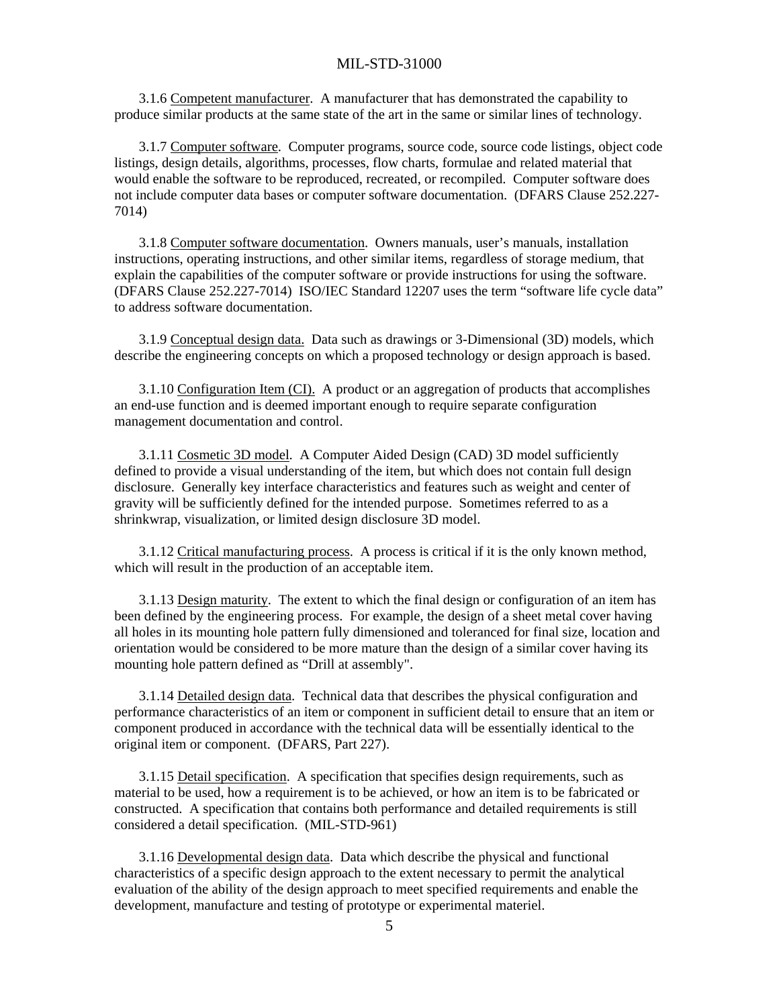3.1.6 Competent manufacturer. A manufacturer that has demonstrated the capability to produce similar products at the same state of the art in the same or similar lines of technology.

 3.1.7 Computer software. Computer programs, source code, source code listings, object code listings, design details, algorithms, processes, flow charts, formulae and related material that would enable the software to be reproduced, recreated, or recompiled. Computer software does not include computer data bases or computer software documentation. (DFARS Clause 252.227- 7014)

 3.1.8 Computer software documentation. Owners manuals, user's manuals, installation instructions, operating instructions, and other similar items, regardless of storage medium, that explain the capabilities of the computer software or provide instructions for using the software. (DFARS Clause 252.227-7014) ISO/IEC Standard 12207 uses the term "software life cycle data" to address software documentation.

 3.1.9 Conceptual design data. Data such as drawings or 3-Dimensional (3D) models, which describe the engineering concepts on which a proposed technology or design approach is based.

 3.1.10 Configuration Item (CI). A product or an aggregation of products that accomplishes an end-use function and is deemed important enough to require separate configuration management documentation and control.

 3.1.11 Cosmetic 3D model. A Computer Aided Design (CAD) 3D model sufficiently defined to provide a visual understanding of the item, but which does not contain full design disclosure. Generally key interface characteristics and features such as weight and center of gravity will be sufficiently defined for the intended purpose. Sometimes referred to as a shrinkwrap, visualization, or limited design disclosure 3D model.

 3.1.12 Critical manufacturing process. A process is critical if it is the only known method, which will result in the production of an acceptable item.

 3.1.13 Design maturity. The extent to which the final design or configuration of an item has been defined by the engineering process. For example, the design of a sheet metal cover having all holes in its mounting hole pattern fully dimensioned and toleranced for final size, location and orientation would be considered to be more mature than the design of a similar cover having its mounting hole pattern defined as "Drill at assembly".

 3.1.14 Detailed design data. Technical data that describes the physical configuration and performance characteristics of an item or component in sufficient detail to ensure that an item or component produced in accordance with the technical data will be essentially identical to the original item or component. (DFARS, Part 227).

 3.1.15 Detail specification. A specification that specifies design requirements, such as material to be used, how a requirement is to be achieved, or how an item is to be fabricated or constructed. A specification that contains both performance and detailed requirements is still considered a detail specification. (MIL-STD-961)

 3.1.16 Developmental design data. Data which describe the physical and functional characteristics of a specific design approach to the extent necessary to permit the analytical evaluation of the ability of the design approach to meet specified requirements and enable the development, manufacture and testing of prototype or experimental materiel.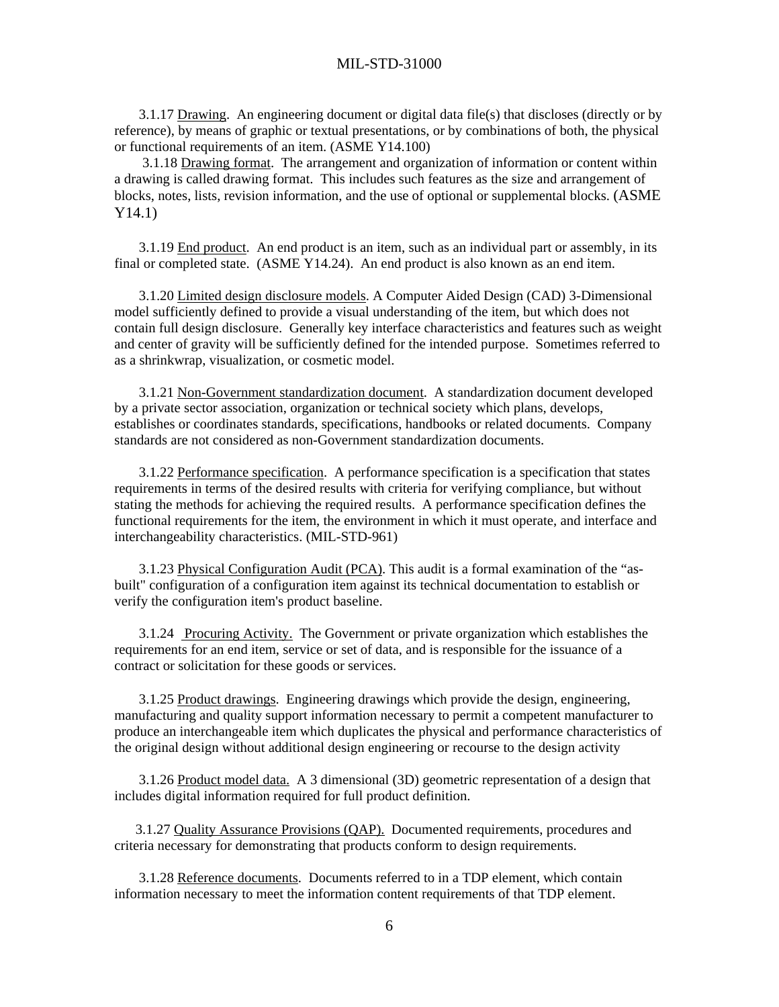3.1.17 Drawing. An engineering document or digital data file(s) that discloses (directly or by reference), by means of graphic or textual presentations, or by combinations of both, the physical or functional requirements of an item. (ASME Y14.100)

 3.1.18 Drawing format. The arrangement and organization of information or content within a drawing is called drawing format. This includes such features as the size and arrangement of blocks, notes, lists, revision information, and the use of optional or supplemental blocks. (ASME Y14.1)

 3.1.19 End product. An end product is an item, such as an individual part or assembly, in its final or completed state. (ASME Y14.24). An end product is also known as an end item.

 3.1.20 Limited design disclosure models. A Computer Aided Design (CAD) 3-Dimensional model sufficiently defined to provide a visual understanding of the item, but which does not contain full design disclosure. Generally key interface characteristics and features such as weight and center of gravity will be sufficiently defined for the intended purpose. Sometimes referred to as a shrinkwrap, visualization, or cosmetic model.

 3.1.21 Non-Government standardization document. A standardization document developed by a private sector association, organization or technical society which plans, develops, establishes or coordinates standards, specifications, handbooks or related documents. Company standards are not considered as non-Government standardization documents.

 3.1.22 Performance specification. A performance specification is a specification that states requirements in terms of the desired results with criteria for verifying compliance, but without stating the methods for achieving the required results. A performance specification defines the functional requirements for the item, the environment in which it must operate, and interface and interchangeability characteristics. (MIL-STD-961)

 3.1.23 Physical Configuration Audit (PCA). This audit is a formal examination of the "asbuilt" configuration of a configuration item against its technical documentation to establish or verify the configuration item's product baseline.

 3.1.24 Procuring Activity. The Government or private organization which establishes the requirements for an end item, service or set of data, and is responsible for the issuance of a contract or solicitation for these goods or services.

 3.1.25 Product drawings. Engineering drawings which provide the design, engineering, manufacturing and quality support information necessary to permit a competent manufacturer to produce an interchangeable item which duplicates the physical and performance characteristics of the original design without additional design engineering or recourse to the design activity

 3.1.26 Product model data. A 3 dimensional (3D) geometric representation of a design that includes digital information required for full product definition.

 3.1.27 Quality Assurance Provisions (QAP). Documented requirements, procedures and criteria necessary for demonstrating that products conform to design requirements.

 3.1.28 Reference documents. Documents referred to in a TDP element, which contain information necessary to meet the information content requirements of that TDP element.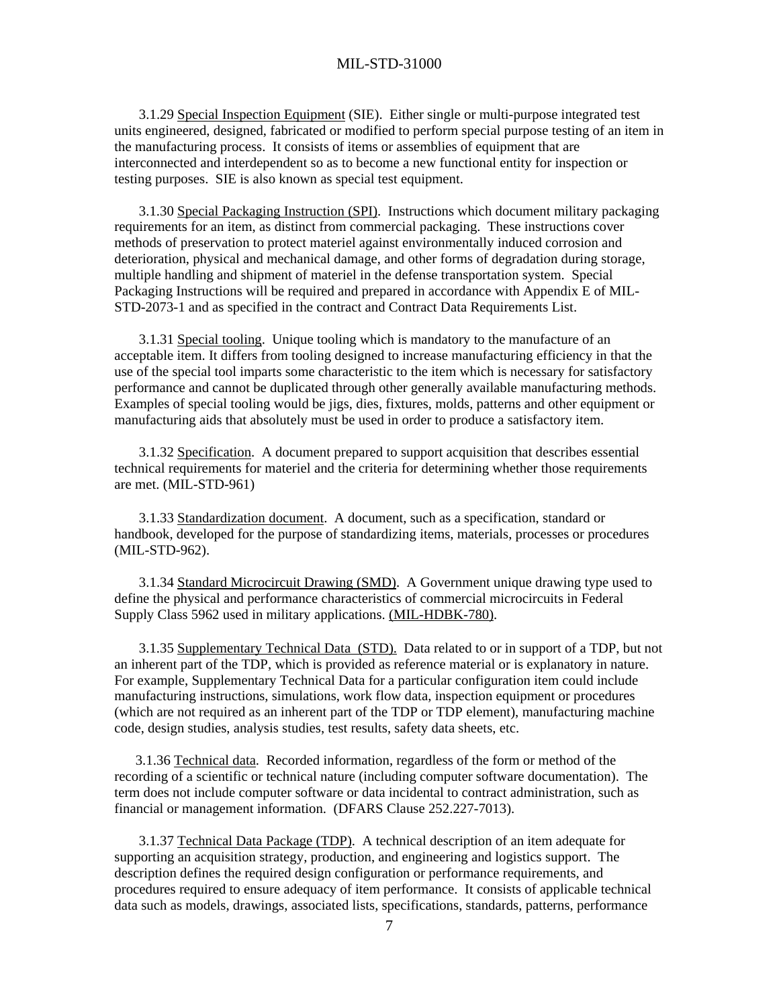3.1.29 Special Inspection Equipment (SIE). Either single or multi-purpose integrated test units engineered, designed, fabricated or modified to perform special purpose testing of an item in the manufacturing process. It consists of items or assemblies of equipment that are interconnected and interdependent so as to become a new functional entity for inspection or testing purposes. SIE is also known as special test equipment.

 3.1.30 Special Packaging Instruction (SPI). Instructions which document military packaging requirements for an item, as distinct from commercial packaging. These instructions cover methods of preservation to protect materiel against environmentally induced corrosion and deterioration, physical and mechanical damage, and other forms of degradation during storage, multiple handling and shipment of materiel in the defense transportation system. Special Packaging Instructions will be required and prepared in accordance with Appendix E of MIL-STD-2073-1 and as specified in the contract and Contract Data Requirements List.

 3.1.31 Special tooling. Unique tooling which is mandatory to the manufacture of an acceptable item. It differs from tooling designed to increase manufacturing efficiency in that the use of the special tool imparts some characteristic to the item which is necessary for satisfactory performance and cannot be duplicated through other generally available manufacturing methods. Examples of special tooling would be jigs, dies, fixtures, molds, patterns and other equipment or manufacturing aids that absolutely must be used in order to produce a satisfactory item.

 3.1.32 Specification. A document prepared to support acquisition that describes essential technical requirements for materiel and the criteria for determining whether those requirements are met. (MIL-STD-961)

 3.1.33 Standardization document. A document, such as a specification, standard or handbook, developed for the purpose of standardizing items, materials, processes or procedures (MIL-STD-962).

 3.1.34 Standard Microcircuit Drawing (SMD). A Government unique drawing type used to define the physical and performance characteristics of commercial microcircuits in Federal Supply Class 5962 used in military applications. (MIL-HDBK-780).

 3.1.35 Supplementary Technical Data (STD). Data related to or in support of a TDP, but not an inherent part of the TDP, which is provided as reference material or is explanatory in nature. For example, Supplementary Technical Data for a particular configuration item could include manufacturing instructions, simulations, work flow data, inspection equipment or procedures (which are not required as an inherent part of the TDP or TDP element), manufacturing machine code, design studies, analysis studies, test results, safety data sheets, etc.

 3.1.36 Technical data. Recorded information, regardless of the form or method of the recording of a scientific or technical nature (including computer software documentation). The term does not include computer software or data incidental to contract administration, such as financial or management information. (DFARS Clause 252.227-7013).

 3.1.37 Technical Data Package (TDP). A technical description of an item adequate for supporting an acquisition strategy, production, and engineering and logistics support. The description defines the required design configuration or performance requirements, and procedures required to ensure adequacy of item performance. It consists of applicable technical data such as models, drawings, associated lists, specifications, standards, patterns, performance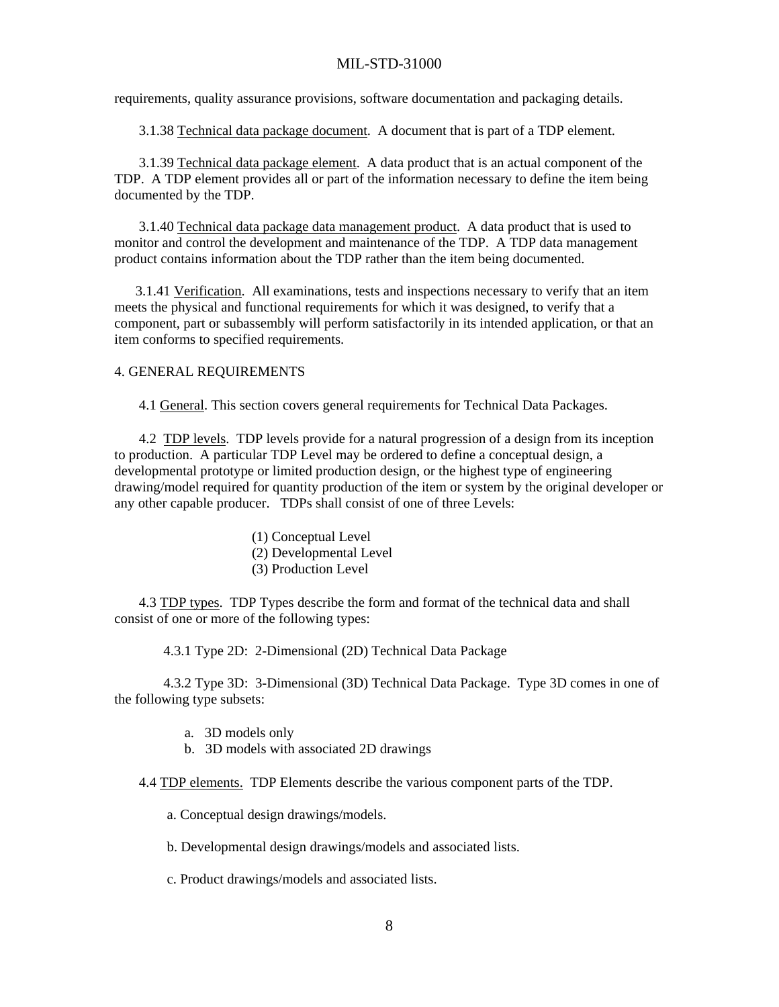requirements, quality assurance provisions, software documentation and packaging details.

3.1.38 Technical data package document. A document that is part of a TDP element.

 3.1.39 Technical data package element. A data product that is an actual component of the TDP. A TDP element provides all or part of the information necessary to define the item being documented by the TDP.

 3.1.40 Technical data package data management product. A data product that is used to monitor and control the development and maintenance of the TDP. A TDP data management product contains information about the TDP rather than the item being documented.

 3.1.41 Verification. All examinations, tests and inspections necessary to verify that an item meets the physical and functional requirements for which it was designed, to verify that a component, part or subassembly will perform satisfactorily in its intended application, or that an item conforms to specified requirements.

#### 4. GENERAL REQUIREMENTS

4.1 General. This section covers general requirements for Technical Data Packages.

 4.2 TDP levels. TDP levels provide for a natural progression of a design from its inception to production. A particular TDP Level may be ordered to define a conceptual design, a developmental prototype or limited production design, or the highest type of engineering drawing/model required for quantity production of the item or system by the original developer or any other capable producer. TDPs shall consist of one of three Levels:

- (1) Conceptual Level
- (2) Developmental Level
- (3) Production Level

 4.3 TDP types. TDP Types describe the form and format of the technical data and shall consist of one or more of the following types:

4.3.1 Type 2D: 2-Dimensional (2D) Technical Data Package

 4.3.2 Type 3D: 3-Dimensional (3D) Technical Data Package. Type 3D comes in one of the following type subsets:

- a. 3D models only
- b. 3D models with associated 2D drawings

4.4 TDP elements. TDP Elements describe the various component parts of the TDP.

a. Conceptual design drawings/models.

b. Developmental design drawings/models and associated lists.

c. Product drawings/models and associated lists.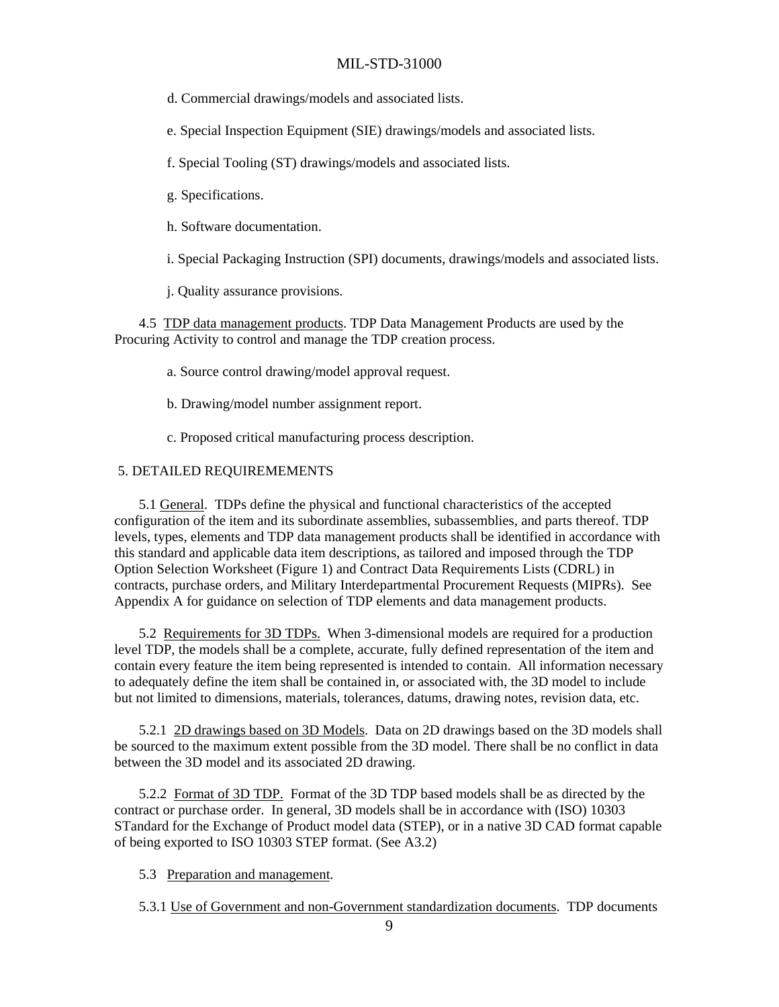d. Commercial drawings/models and associated lists.

e. Special Inspection Equipment (SIE) drawings/models and associated lists.

f. Special Tooling (ST) drawings/models and associated lists.

- g. Specifications.
- h. Software documentation.
- i. Special Packaging Instruction (SPI) documents, drawings/models and associated lists.

j. Quality assurance provisions.

 4.5 TDP data management products. TDP Data Management Products are used by the Procuring Activity to control and manage the TDP creation process.

- a. Source control drawing/model approval request.
- b. Drawing/model number assignment report.
- c. Proposed critical manufacturing process description.

#### 5. DETAILED REQUIREMEMENTS

 5.1 General. TDPs define the physical and functional characteristics of the accepted configuration of the item and its subordinate assemblies, subassemblies, and parts thereof. TDP levels, types, elements and TDP data management products shall be identified in accordance with this standard and applicable data item descriptions, as tailored and imposed through the TDP Option Selection Worksheet (Figure 1) and Contract Data Requirements Lists (CDRL) in contracts, purchase orders, and Military Interdepartmental Procurement Requests (MIPRs). See Appendix A for guidance on selection of TDP elements and data management products.

 5.2 Requirements for 3D TDPs. When 3-dimensional models are required for a production level TDP, the models shall be a complete, accurate, fully defined representation of the item and contain every feature the item being represented is intended to contain. All information necessary to adequately define the item shall be contained in, or associated with, the 3D model to include but not limited to dimensions, materials, tolerances, datums, drawing notes, revision data, etc.

 5.2.1 2D drawings based on 3D Models. Data on 2D drawings based on the 3D models shall be sourced to the maximum extent possible from the 3D model. There shall be no conflict in data between the 3D model and its associated 2D drawing.

 5.2.2 Format of 3D TDP. Format of the 3D TDP based models shall be as directed by the contract or purchase order. In general, 3D models shall be in accordance with (ISO) 10303 STandard for the Exchange of Product model data (STEP), or in a native 3D CAD format capable of being exported to ISO 10303 STEP format. (See A3.2)

5.3 Preparation and management.

5.3.1 Use of Government and non-Government standardization documents. TDP documents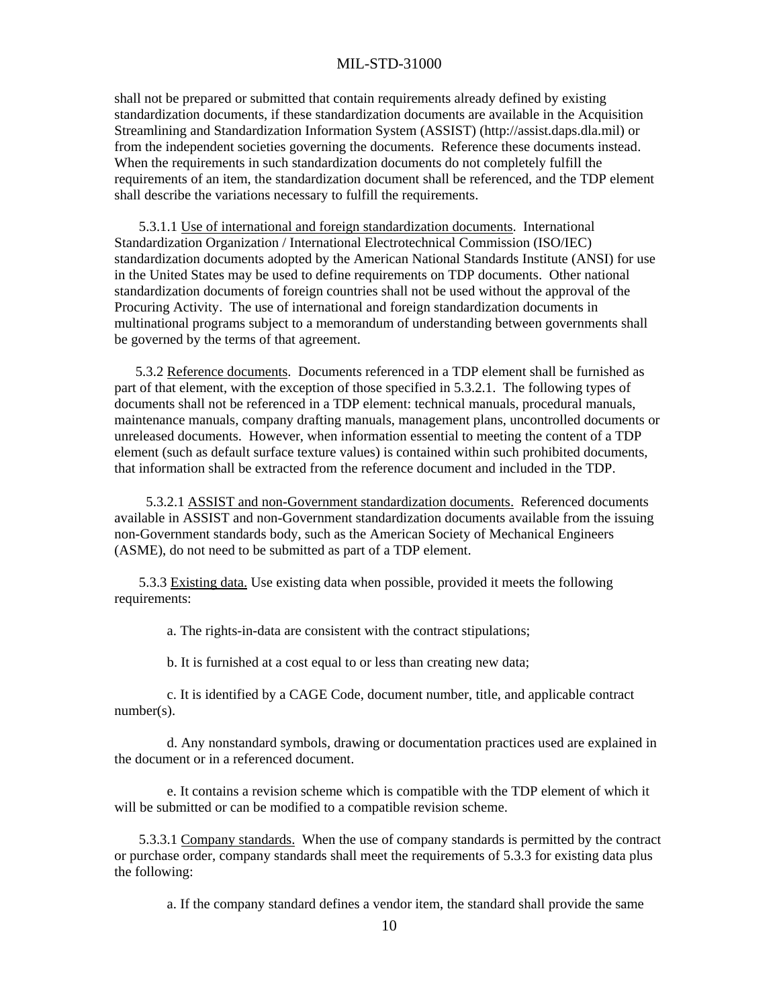shall not be prepared or submitted that contain requirements already defined by existing standardization documents, if these standardization documents are available in the Acquisition Streamlining and Standardization Information System (ASSIST) (http://assist.daps.dla.mil) or from the independent societies governing the documents. Reference these documents instead. When the requirements in such standardization documents do not completely fulfill the requirements of an item, the standardization document shall be referenced, and the TDP element shall describe the variations necessary to fulfill the requirements.

 5.3.1.1 Use of international and foreign standardization documents. International Standardization Organization / International Electrotechnical Commission (ISO/IEC) standardization documents adopted by the American National Standards Institute (ANSI) for use in the United States may be used to define requirements on TDP documents. Other national standardization documents of foreign countries shall not be used without the approval of the Procuring Activity. The use of international and foreign standardization documents in multinational programs subject to a memorandum of understanding between governments shall be governed by the terms of that agreement.

 5.3.2 Reference documents. Documents referenced in a TDP element shall be furnished as part of that element, with the exception of those specified in 5.3.2.1. The following types of documents shall not be referenced in a TDP element: technical manuals, procedural manuals, maintenance manuals, company drafting manuals, management plans, uncontrolled documents or unreleased documents. However, when information essential to meeting the content of a TDP element (such as default surface texture values) is contained within such prohibited documents, that information shall be extracted from the reference document and included in the TDP.

 5.3.2.1 ASSIST and non-Government standardization documents. Referenced documents available in ASSIST and non-Government standardization documents available from the issuing non-Government standards body, such as the American Society of Mechanical Engineers (ASME), do not need to be submitted as part of a TDP element.

 5.3.3 Existing data. Use existing data when possible, provided it meets the following requirements:

a. The rights-in-data are consistent with the contract stipulations;

b. It is furnished at a cost equal to or less than creating new data;

 c. It is identified by a CAGE Code, document number, title, and applicable contract number(s).

 d. Any nonstandard symbols, drawing or documentation practices used are explained in the document or in a referenced document.

 e. It contains a revision scheme which is compatible with the TDP element of which it will be submitted or can be modified to a compatible revision scheme.

 5.3.3.1 Company standards. When the use of company standards is permitted by the contract or purchase order, company standards shall meet the requirements of 5.3.3 for existing data plus the following:

a. If the company standard defines a vendor item, the standard shall provide the same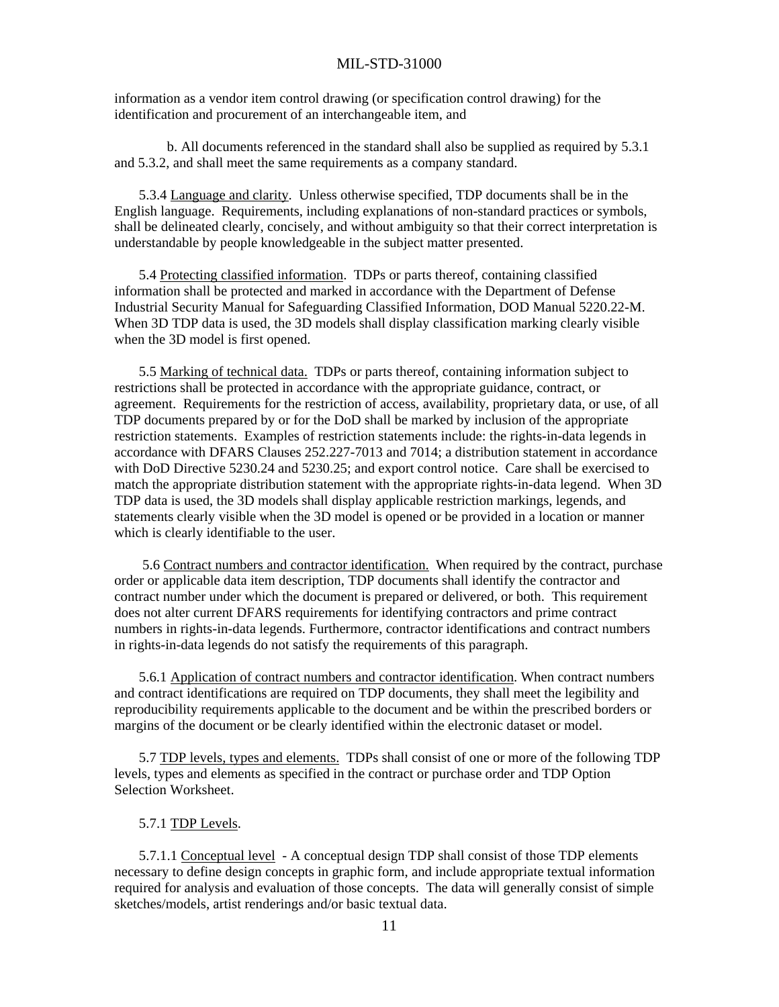information as a vendor item control drawing (or specification control drawing) for the identification and procurement of an interchangeable item, and

 b. All documents referenced in the standard shall also be supplied as required by 5.3.1 and 5.3.2, and shall meet the same requirements as a company standard.

 5.3.4 Language and clarity. Unless otherwise specified, TDP documents shall be in the English language. Requirements, including explanations of non-standard practices or symbols, shall be delineated clearly, concisely, and without ambiguity so that their correct interpretation is understandable by people knowledgeable in the subject matter presented.

 5.4 Protecting classified information. TDPs or parts thereof, containing classified information shall be protected and marked in accordance with the Department of Defense Industrial Security Manual for Safeguarding Classified Information, DOD Manual 5220.22-M. When 3D TDP data is used, the 3D models shall display classification marking clearly visible when the 3D model is first opened.

 5.5 Marking of technical data. TDPs or parts thereof, containing information subject to restrictions shall be protected in accordance with the appropriate guidance, contract, or agreement. Requirements for the restriction of access, availability, proprietary data, or use, of all TDP documents prepared by or for the DoD shall be marked by inclusion of the appropriate restriction statements. Examples of restriction statements include: the rights-in-data legends in accordance with DFARS Clauses 252.227-7013 and 7014; a distribution statement in accordance with DoD Directive 5230.24 and 5230.25; and export control notice. Care shall be exercised to match the appropriate distribution statement with the appropriate rights-in-data legend. When 3D TDP data is used, the 3D models shall display applicable restriction markings, legends, and statements clearly visible when the 3D model is opened or be provided in a location or manner which is clearly identifiable to the user.

 5.6 Contract numbers and contractor identification. When required by the contract, purchase order or applicable data item description, TDP documents shall identify the contractor and contract number under which the document is prepared or delivered, or both. This requirement does not alter current DFARS requirements for identifying contractors and prime contract numbers in rights-in-data legends. Furthermore, contractor identifications and contract numbers in rights-in-data legends do not satisfy the requirements of this paragraph.

 5.6.1 Application of contract numbers and contractor identification. When contract numbers and contract identifications are required on TDP documents, they shall meet the legibility and reproducibility requirements applicable to the document and be within the prescribed borders or margins of the document or be clearly identified within the electronic dataset or model.

 5.7 TDP levels, types and elements. TDPs shall consist of one or more of the following TDP levels, types and elements as specified in the contract or purchase order and TDP Option Selection Worksheet.

#### 5.7.1 TDP Levels.

 5.7.1.1 Conceptual level - A conceptual design TDP shall consist of those TDP elements necessary to define design concepts in graphic form, and include appropriate textual information required for analysis and evaluation of those concepts. The data will generally consist of simple sketches/models, artist renderings and/or basic textual data.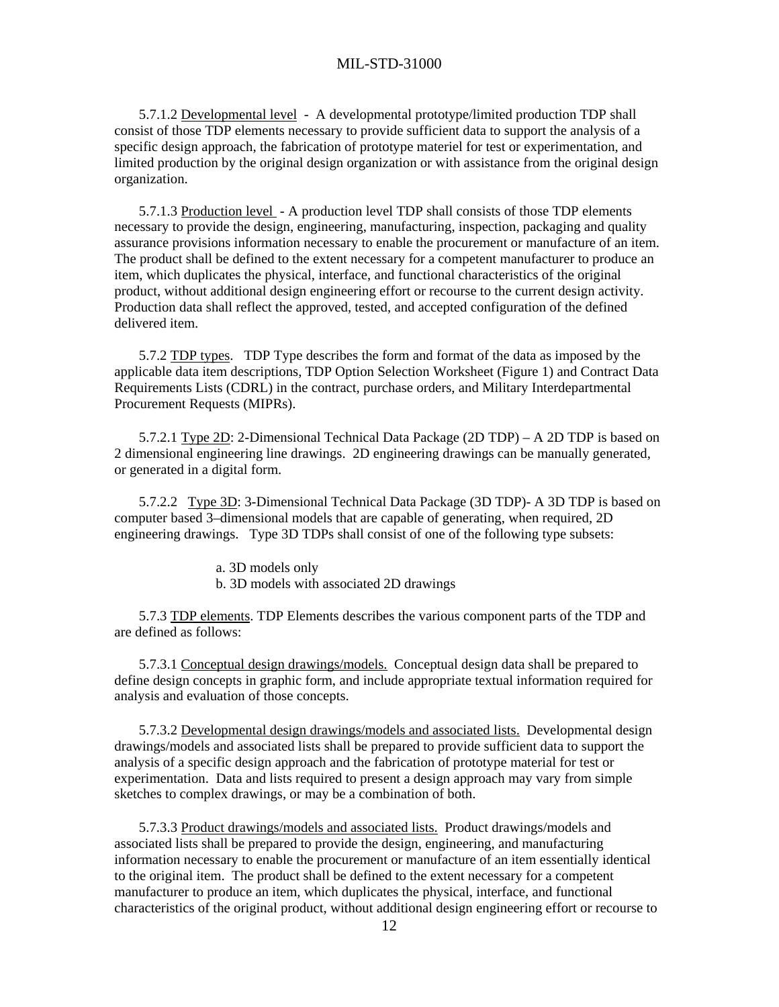5.7.1.2 Developmental level - A developmental prototype/limited production TDP shall consist of those TDP elements necessary to provide sufficient data to support the analysis of a specific design approach, the fabrication of prototype materiel for test or experimentation, and limited production by the original design organization or with assistance from the original design organization.

 5.7.1.3 Production level - A production level TDP shall consists of those TDP elements necessary to provide the design, engineering, manufacturing, inspection, packaging and quality assurance provisions information necessary to enable the procurement or manufacture of an item. The product shall be defined to the extent necessary for a competent manufacturer to produce an item, which duplicates the physical, interface, and functional characteristics of the original product, without additional design engineering effort or recourse to the current design activity. Production data shall reflect the approved, tested, and accepted configuration of the defined delivered item.

 5.7.2 TDP types. TDP Type describes the form and format of the data as imposed by the applicable data item descriptions, TDP Option Selection Worksheet (Figure 1) and Contract Data Requirements Lists (CDRL) in the contract, purchase orders, and Military Interdepartmental Procurement Requests (MIPRs).

 5.7.2.1 Type 2D: 2-Dimensional Technical Data Package (2D TDP) – A 2D TDP is based on 2 dimensional engineering line drawings. 2D engineering drawings can be manually generated, or generated in a digital form.

 5.7.2.2 Type 3D: 3-Dimensional Technical Data Package (3D TDP)- A 3D TDP is based on computer based 3–dimensional models that are capable of generating, when required, 2D engineering drawings. Type 3D TDPs shall consist of one of the following type subsets:

a. 3D models only

b. 3D models with associated 2D drawings

 5.7.3 TDP elements. TDP Elements describes the various component parts of the TDP and are defined as follows:

 5.7.3.1 Conceptual design drawings/models. Conceptual design data shall be prepared to define design concepts in graphic form, and include appropriate textual information required for analysis and evaluation of those concepts.

 5.7.3.2 Developmental design drawings/models and associated lists. Developmental design drawings/models and associated lists shall be prepared to provide sufficient data to support the analysis of a specific design approach and the fabrication of prototype material for test or experimentation. Data and lists required to present a design approach may vary from simple sketches to complex drawings, or may be a combination of both.

 5.7.3.3 Product drawings/models and associated lists. Product drawings/models and associated lists shall be prepared to provide the design, engineering, and manufacturing information necessary to enable the procurement or manufacture of an item essentially identical to the original item. The product shall be defined to the extent necessary for a competent manufacturer to produce an item, which duplicates the physical, interface, and functional characteristics of the original product, without additional design engineering effort or recourse to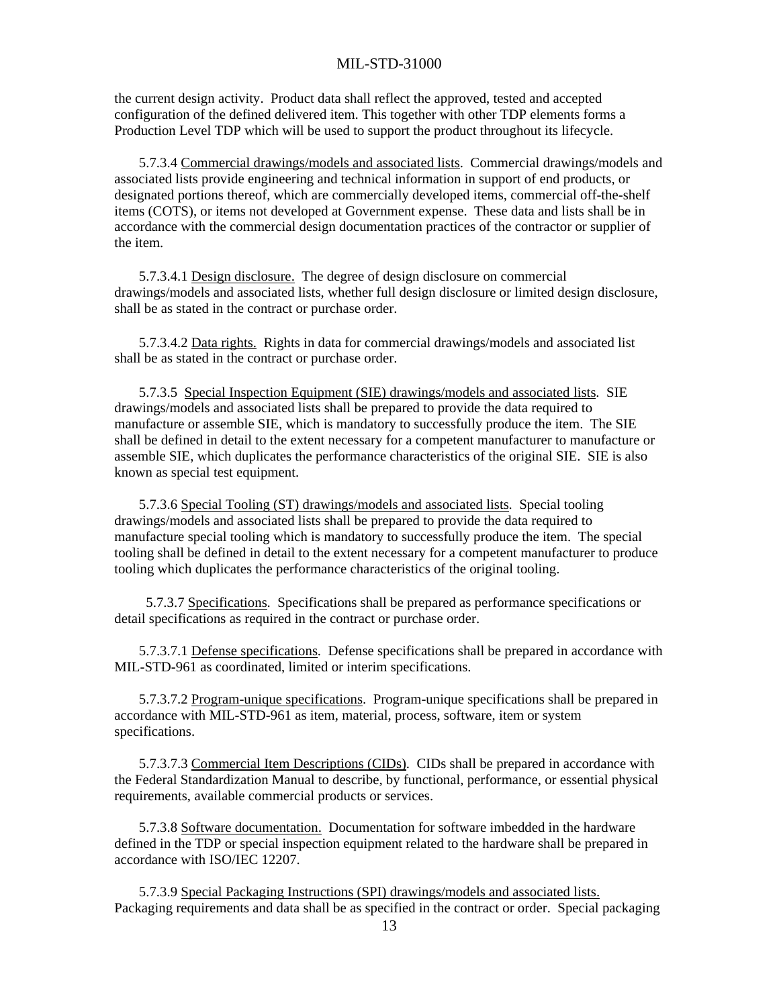the current design activity. Product data shall reflect the approved, tested and accepted configuration of the defined delivered item. This together with other TDP elements forms a Production Level TDP which will be used to support the product throughout its lifecycle.

 5.7.3.4 Commercial drawings/models and associated lists. Commercial drawings/models and associated lists provide engineering and technical information in support of end products, or designated portions thereof, which are commercially developed items, commercial off-the-shelf items (COTS), or items not developed at Government expense. These data and lists shall be in accordance with the commercial design documentation practices of the contractor or supplier of the item.

 5.7.3.4.1 Design disclosure. The degree of design disclosure on commercial drawings/models and associated lists, whether full design disclosure or limited design disclosure, shall be as stated in the contract or purchase order.

 5.7.3.4.2 Data rights. Rights in data for commercial drawings/models and associated list shall be as stated in the contract or purchase order.

 5.7.3.5 Special Inspection Equipment (SIE) drawings/models and associated lists. SIE drawings/models and associated lists shall be prepared to provide the data required to manufacture or assemble SIE, which is mandatory to successfully produce the item. The SIE shall be defined in detail to the extent necessary for a competent manufacturer to manufacture or assemble SIE, which duplicates the performance characteristics of the original SIE. SIE is also known as special test equipment.

 5.7.3.6 Special Tooling (ST) drawings/models and associated lists. Special tooling drawings/models and associated lists shall be prepared to provide the data required to manufacture special tooling which is mandatory to successfully produce the item. The special tooling shall be defined in detail to the extent necessary for a competent manufacturer to produce tooling which duplicates the performance characteristics of the original tooling.

 5.7.3.7 Specifications. Specifications shall be prepared as performance specifications or detail specifications as required in the contract or purchase order.

 5.7.3.7.1 Defense specifications. Defense specifications shall be prepared in accordance with MIL-STD-961 as coordinated, limited or interim specifications.

 5.7.3.7.2 Program-unique specifications. Program-unique specifications shall be prepared in accordance with MIL-STD-961 as item, material, process, software, item or system specifications.

 5.7.3.7.3 Commercial Item Descriptions (CIDs). CIDs shall be prepared in accordance with the Federal Standardization Manual to describe, by functional, performance, or essential physical requirements, available commercial products or services.

 5.7.3.8 Software documentation. Documentation for software imbedded in the hardware defined in the TDP or special inspection equipment related to the hardware shall be prepared in accordance with ISO/IEC 12207.

 5.7.3.9 Special Packaging Instructions (SPI) drawings/models and associated lists. Packaging requirements and data shall be as specified in the contract or order. Special packaging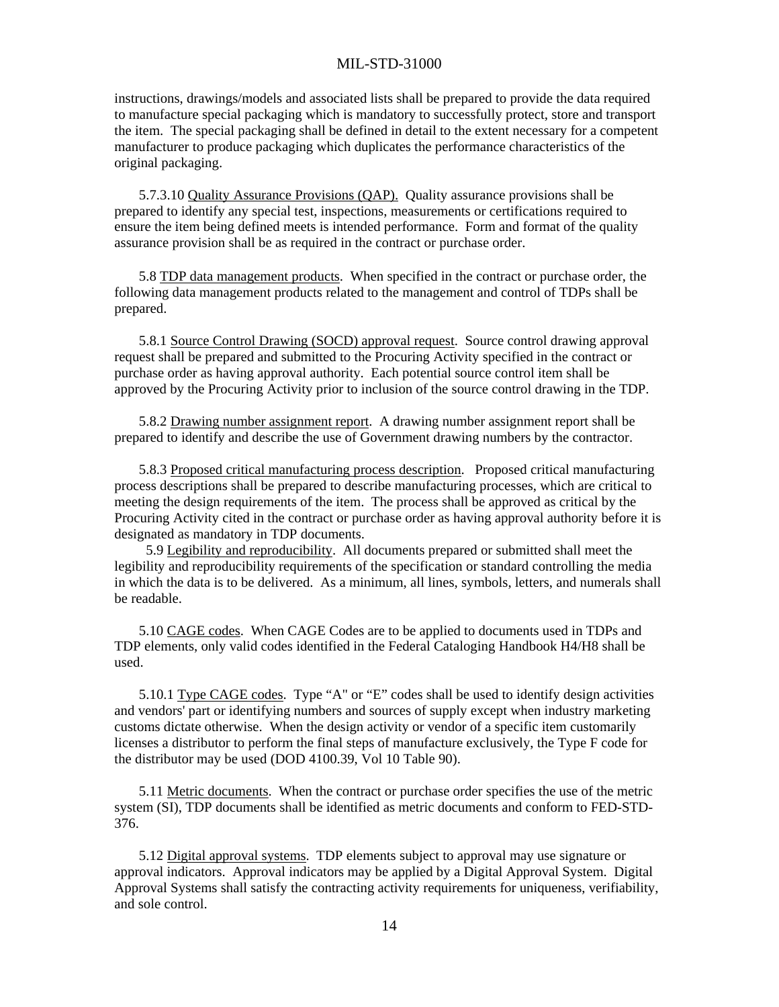instructions, drawings/models and associated lists shall be prepared to provide the data required to manufacture special packaging which is mandatory to successfully protect, store and transport the item. The special packaging shall be defined in detail to the extent necessary for a competent manufacturer to produce packaging which duplicates the performance characteristics of the original packaging.

 5.7.3.10 Quality Assurance Provisions (QAP). Quality assurance provisions shall be prepared to identify any special test, inspections, measurements or certifications required to ensure the item being defined meets is intended performance. Form and format of the quality assurance provision shall be as required in the contract or purchase order.

 5.8 TDP data management products. When specified in the contract or purchase order, the following data management products related to the management and control of TDPs shall be prepared.

 5.8.1 Source Control Drawing (SOCD) approval request. Source control drawing approval request shall be prepared and submitted to the Procuring Activity specified in the contract or purchase order as having approval authority. Each potential source control item shall be approved by the Procuring Activity prior to inclusion of the source control drawing in the TDP.

 5.8.2 Drawing number assignment report. A drawing number assignment report shall be prepared to identify and describe the use of Government drawing numbers by the contractor.

 5.8.3 Proposed critical manufacturing process description. Proposed critical manufacturing process descriptions shall be prepared to describe manufacturing processes, which are critical to meeting the design requirements of the item. The process shall be approved as critical by the Procuring Activity cited in the contract or purchase order as having approval authority before it is designated as mandatory in TDP documents.

 5.9 Legibility and reproducibility. All documents prepared or submitted shall meet the legibility and reproducibility requirements of the specification or standard controlling the media in which the data is to be delivered. As a minimum, all lines, symbols, letters, and numerals shall be readable.

 5.10 CAGE codes. When CAGE Codes are to be applied to documents used in TDPs and TDP elements, only valid codes identified in the Federal Cataloging Handbook H4/H8 shall be used.

 5.10.1 Type CAGE codes. Type "A" or "E" codes shall be used to identify design activities and vendors' part or identifying numbers and sources of supply except when industry marketing customs dictate otherwise. When the design activity or vendor of a specific item customarily licenses a distributor to perform the final steps of manufacture exclusively, the Type F code for the distributor may be used (DOD 4100.39, Vol 10 Table 90).

 5.11 Metric documents. When the contract or purchase order specifies the use of the metric system (SI), TDP documents shall be identified as metric documents and conform to FED-STD-376.

 5.12 Digital approval systems. TDP elements subject to approval may use signature or approval indicators. Approval indicators may be applied by a Digital Approval System. Digital Approval Systems shall satisfy the contracting activity requirements for uniqueness, verifiability, and sole control.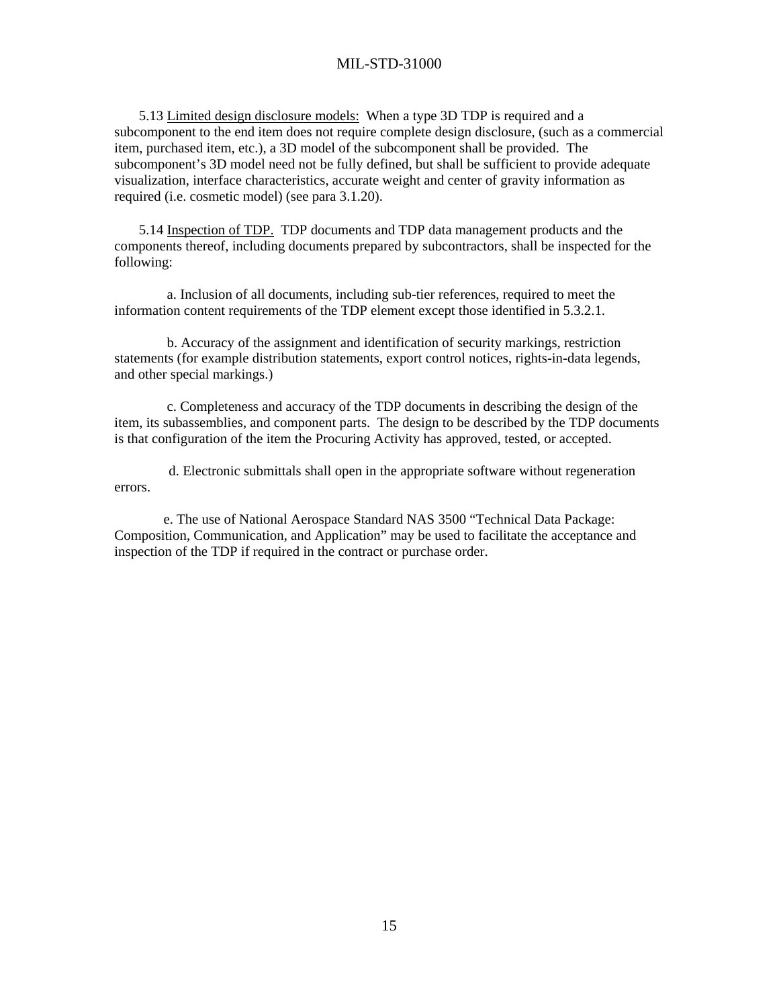5.13 Limited design disclosure models: When a type 3D TDP is required and a subcomponent to the end item does not require complete design disclosure, (such as a commercial item, purchased item, etc.), a 3D model of the subcomponent shall be provided. The subcomponent's 3D model need not be fully defined, but shall be sufficient to provide adequate visualization, interface characteristics, accurate weight and center of gravity information as required (i.e. cosmetic model) (see para 3.1.20).

 5.14 Inspection of TDP. TDP documents and TDP data management products and the components thereof, including documents prepared by subcontractors, shall be inspected for the following:

 a. Inclusion of all documents, including sub-tier references, required to meet the information content requirements of the TDP element except those identified in 5.3.2.1.

 b. Accuracy of the assignment and identification of security markings, restriction statements (for example distribution statements, export control notices, rights-in-data legends, and other special markings.)

 c. Completeness and accuracy of the TDP documents in describing the design of the item, its subassemblies, and component parts. The design to be described by the TDP documents is that configuration of the item the Procuring Activity has approved, tested, or accepted.

 d. Electronic submittals shall open in the appropriate software without regeneration errors.

 e. The use of National Aerospace Standard NAS 3500 "Technical Data Package: Composition, Communication, and Application" may be used to facilitate the acceptance and inspection of the TDP if required in the contract or purchase order.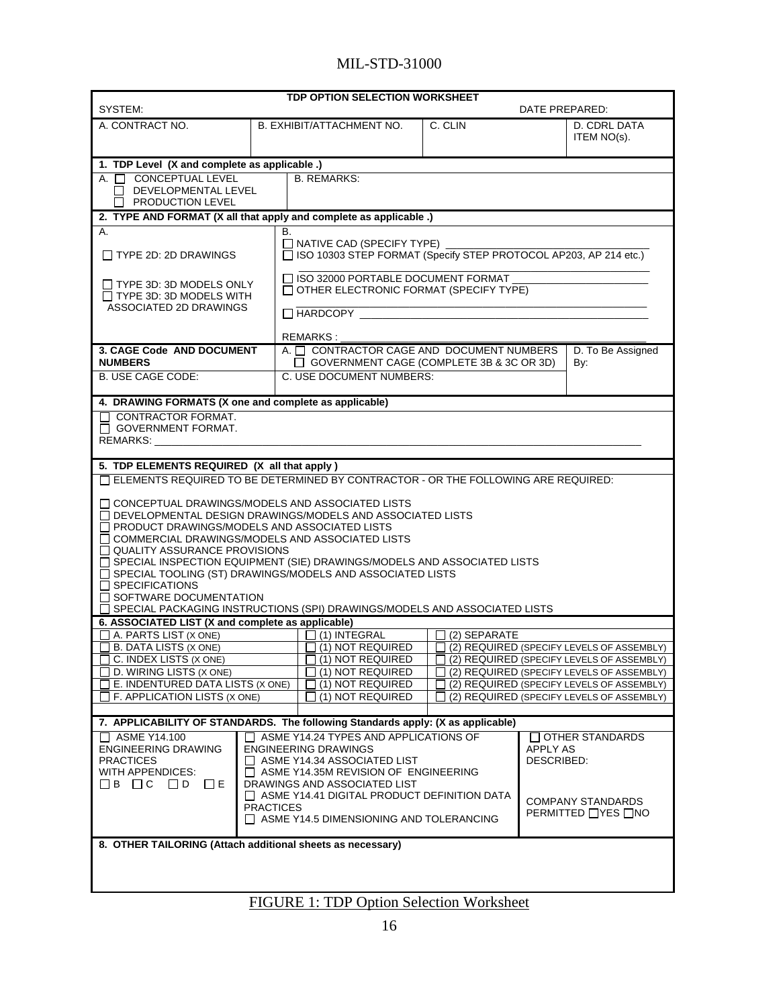| TDP OPTION SELECTION WORKSHEET<br>SYSTEM:<br>DATE PREPARED:                                                                            |                                                                                          |                                                                                                     |                                           |              |                                                                                        |                   |  |
|----------------------------------------------------------------------------------------------------------------------------------------|------------------------------------------------------------------------------------------|-----------------------------------------------------------------------------------------------------|-------------------------------------------|--------------|----------------------------------------------------------------------------------------|-------------------|--|
| A. CONTRACT NO.                                                                                                                        |                                                                                          | B. EXHIBIT/ATTACHMENT NO.                                                                           |                                           | C. CLIN      |                                                                                        | D. CDRL DATA      |  |
|                                                                                                                                        |                                                                                          |                                                                                                     |                                           |              |                                                                                        | ITEM NO(s).       |  |
| 1. TDP Level (X and complete as applicable .)                                                                                          |                                                                                          |                                                                                                     |                                           |              |                                                                                        |                   |  |
| A. <b>N</b> CONCEPTUAL LEVEL                                                                                                           |                                                                                          | <b>B. REMARKS:</b>                                                                                  |                                           |              |                                                                                        |                   |  |
| $\Box$ DEVELOPMENTAL LEVEL                                                                                                             |                                                                                          |                                                                                                     |                                           |              |                                                                                        |                   |  |
| $\Box$ PRODUCTION LEVEL                                                                                                                |                                                                                          |                                                                                                     |                                           |              |                                                                                        |                   |  |
| 2. TYPE AND FORMAT (X all that apply and complete as applicable.)                                                                      |                                                                                          |                                                                                                     |                                           |              |                                                                                        |                   |  |
| Α.                                                                                                                                     |                                                                                          | В.                                                                                                  |                                           |              |                                                                                        |                   |  |
| $\Box$ TYPE 2D: 2D DRAWINGS                                                                                                            |                                                                                          | □ NATIVE CAD (SPECIFY TYPE) _<br>□ ISO 10303 STEP FORMAT (Specify STEP PROTOCOL AP203, AP 214 etc.) |                                           |              |                                                                                        |                   |  |
| $\Box$ TYPE 3D: 3D MODELS ONLY                                                                                                         |                                                                                          | □ ISO 32000 PORTABLE DOCUMENT FORMAT                                                                |                                           |              |                                                                                        |                   |  |
| $\Box$ TYPE 3D: 3D MODELS WITH                                                                                                         |                                                                                          | OTHER ELECTRONIC FORMAT (SPECIFY TYPE)                                                              |                                           |              |                                                                                        |                   |  |
| ASSOCIATED 2D DRAWINGS                                                                                                                 |                                                                                          | $\Box$ HARDCOPY $\_\_\_\$                                                                           |                                           |              |                                                                                        |                   |  |
|                                                                                                                                        |                                                                                          |                                                                                                     |                                           |              |                                                                                        |                   |  |
|                                                                                                                                        |                                                                                          | <b>REMARKS:</b>                                                                                     |                                           |              |                                                                                        |                   |  |
| 3. CAGE Code AND DOCUMENT                                                                                                              |                                                                                          | A. T CONTRACTOR CAGE AND DOCUMENT NUMBERS                                                           |                                           |              |                                                                                        | D. To Be Assigned |  |
| <b>NUMBERS</b>                                                                                                                         |                                                                                          | □ GOVERNMENT CAGE (COMPLETE 3B & 3C OR 3D)                                                          |                                           |              |                                                                                        | By:               |  |
| <b>B. USE CAGE CODE:</b>                                                                                                               |                                                                                          | C. USE DOCUMENT NUMBERS:                                                                            |                                           |              |                                                                                        |                   |  |
| 4. DRAWING FORMATS (X one and complete as applicable)                                                                                  |                                                                                          |                                                                                                     |                                           |              |                                                                                        |                   |  |
| CONTRACTOR FORMAT.                                                                                                                     |                                                                                          |                                                                                                     |                                           |              |                                                                                        |                   |  |
| □ GOVERNMENT FORMAT.                                                                                                                   |                                                                                          |                                                                                                     |                                           |              |                                                                                        |                   |  |
| <b>REMARKS:</b>                                                                                                                        |                                                                                          |                                                                                                     |                                           |              |                                                                                        |                   |  |
|                                                                                                                                        |                                                                                          |                                                                                                     |                                           |              |                                                                                        |                   |  |
| 5. TDP ELEMENTS REQUIRED (X all that apply)                                                                                            |                                                                                          |                                                                                                     |                                           |              |                                                                                        |                   |  |
| □ ELEMENTS REQUIRED TO BE DETERMINED BY CONTRACTOR - OR THE FOLLOWING ARE REQUIRED:                                                    |                                                                                          |                                                                                                     |                                           |              |                                                                                        |                   |  |
| $\Box$ CONCEPTUAL DRAWINGS/MODELS AND ASSOCIATED LISTS                                                                                 |                                                                                          |                                                                                                     |                                           |              |                                                                                        |                   |  |
| □ DEVELOPMENTAL DESIGN DRAWINGS/MODELS AND ASSOCIATED LISTS                                                                            |                                                                                          |                                                                                                     |                                           |              |                                                                                        |                   |  |
| $\Box$ PRODUCT DRAWINGS/MODELS AND ASSOCIATED LISTS                                                                                    |                                                                                          |                                                                                                     |                                           |              |                                                                                        |                   |  |
| $\Box$ COMMERCIAL DRAWINGS/MODELS AND ASSOCIATED LISTS                                                                                 |                                                                                          |                                                                                                     |                                           |              |                                                                                        |                   |  |
| □ QUALITY ASSURANCE PROVISIONS                                                                                                         |                                                                                          |                                                                                                     |                                           |              |                                                                                        |                   |  |
| □ SPECIAL INSPECTION EQUIPMENT (SIE) DRAWINGS/MODELS AND ASSOCIATED LISTS<br>SPECIAL TOOLING (ST) DRAWINGS/MODELS AND ASSOCIATED LISTS |                                                                                          |                                                                                                     |                                           |              |                                                                                        |                   |  |
| $\Box$ SPECIFICATIONS                                                                                                                  |                                                                                          |                                                                                                     |                                           |              |                                                                                        |                   |  |
| $\Box$ SOFTWARE DOCUMENTATION                                                                                                          |                                                                                          |                                                                                                     |                                           |              |                                                                                        |                   |  |
|                                                                                                                                        |                                                                                          | SPECIAL PACKAGING INSTRUCTIONS (SPI) DRAWINGS/MODELS AND ASSOCIATED LISTS                           |                                           |              |                                                                                        |                   |  |
| 6. ASSOCIATED LIST (X and complete as applicable)                                                                                      |                                                                                          |                                                                                                     |                                           |              |                                                                                        |                   |  |
| A. PARTS LIST (X ONE)                                                                                                                  |                                                                                          | $\Box$ (1) INTEGRAL<br>$\Box$ (1) NOT REQUIRED                                                      |                                           | (2) SEPARATE |                                                                                        |                   |  |
| B. DATA LISTS (X ONE)<br>_] C. INDEX LISTS (X ONE)                                                                                     |                                                                                          | J (1) NOT REQUIRED                                                                                  |                                           |              | (2) REQUIRED (SPECIFY LEVELS OF ASSEMBLY)                                              |                   |  |
| D. WIRING LISTS (X ONE)                                                                                                                |                                                                                          | (1) NOT REQUIRED                                                                                    |                                           |              | (2) REQUIRED (SPECIFY LEVELS OF ASSEMBLY)<br>(2) REQUIRED (SPECIFY LEVELS OF ASSEMBLY) |                   |  |
| E. INDENTURED DATA LISTS (X ONE)                                                                                                       |                                                                                          | (1) NOT REQUIRED                                                                                    | (2) REQUIRED (SPECIFY LEVELS OF ASSEMBLY) |              |                                                                                        |                   |  |
| F. APPLICATION LISTS (X ONE)                                                                                                           |                                                                                          | (1) NOT REQUIRED                                                                                    |                                           |              | (2) REQUIRED (SPECIFY LEVELS OF ASSEMBLY)                                              |                   |  |
|                                                                                                                                        |                                                                                          |                                                                                                     |                                           |              |                                                                                        |                   |  |
| 7. APPLICABILITY OF STANDARDS. The following Standards apply: (X as applicable)                                                        |                                                                                          |                                                                                                     |                                           |              |                                                                                        |                   |  |
|                                                                                                                                        | ASME Y14.24 TYPES AND APPLICATIONS OF<br>$\Box$ ASME Y14.100<br>$\Box$ OTHER STANDARDS   |                                                                                                     |                                           |              |                                                                                        |                   |  |
| <b>ENGINEERING DRAWING</b><br><b>PRACTICES</b>                                                                                         |                                                                                          | <b>ENGINEERING DRAWINGS</b>                                                                         |                                           |              | APPLY AS                                                                               |                   |  |
| WITH APPENDICES:                                                                                                                       | ASME Y14.34 ASSOCIATED LIST<br>DESCRIBED:<br>ASME Y14.35M REVISION OF ENGINEERING        |                                                                                                     |                                           |              |                                                                                        |                   |  |
| $\Box$ B $\Box$ C $\Box$ D $\Box$ E                                                                                                    |                                                                                          | DRAWINGS AND ASSOCIATED LIST                                                                        |                                           |              |                                                                                        |                   |  |
| $\Box$ ASME Y14.41 DIGITAL PRODUCT DEFINITION DATA<br><b>COMPANY STANDARDS</b>                                                         |                                                                                          |                                                                                                     |                                           |              |                                                                                        |                   |  |
|                                                                                                                                        | <b>PRACTICES</b><br>PERMITTED □YES □NO<br>$\Box$ ASME Y14.5 DIMENSIONING AND TOLERANCING |                                                                                                     |                                           |              |                                                                                        |                   |  |
|                                                                                                                                        |                                                                                          |                                                                                                     |                                           |              |                                                                                        |                   |  |
| 8. OTHER TAILORING (Attach additional sheets as necessary)                                                                             |                                                                                          |                                                                                                     |                                           |              |                                                                                        |                   |  |
|                                                                                                                                        |                                                                                          |                                                                                                     |                                           |              |                                                                                        |                   |  |
|                                                                                                                                        |                                                                                          |                                                                                                     |                                           |              |                                                                                        |                   |  |
|                                                                                                                                        |                                                                                          |                                                                                                     |                                           |              |                                                                                        |                   |  |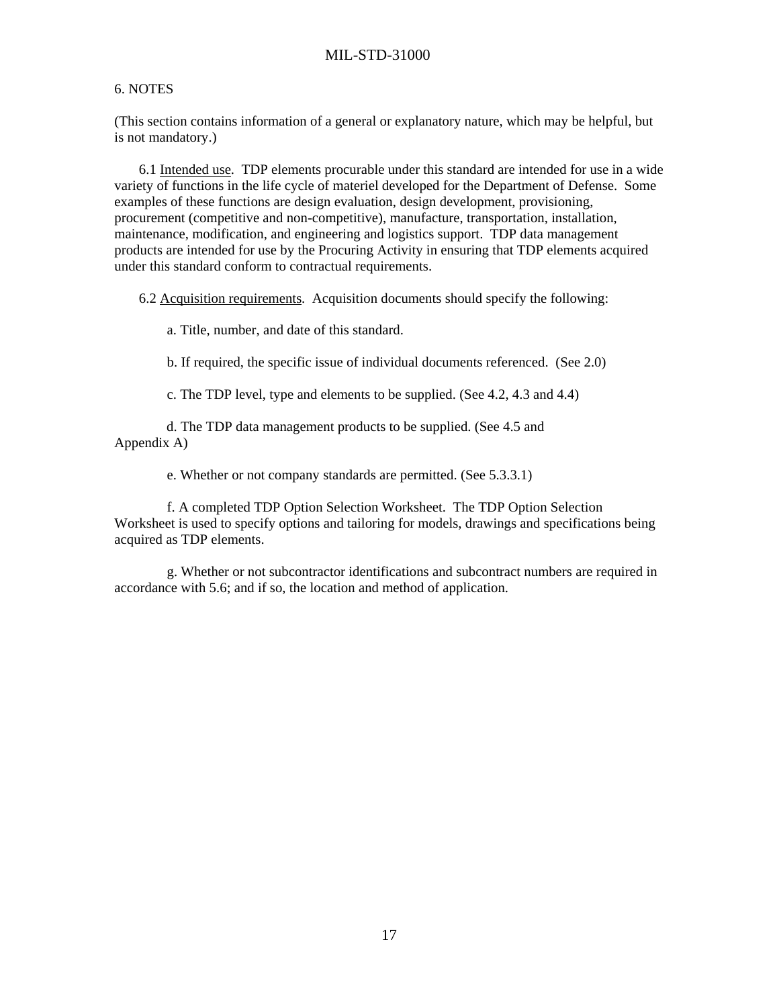#### 6. NOTES

(This section contains information of a general or explanatory nature, which may be helpful, but is not mandatory.)

 6.1 Intended use. TDP elements procurable under this standard are intended for use in a wide variety of functions in the life cycle of materiel developed for the Department of Defense. Some examples of these functions are design evaluation, design development, provisioning, procurement (competitive and non-competitive), manufacture, transportation, installation, maintenance, modification, and engineering and logistics support. TDP data management products are intended for use by the Procuring Activity in ensuring that TDP elements acquired under this standard conform to contractual requirements.

6.2 Acquisition requirements. Acquisition documents should specify the following:

a. Title, number, and date of this standard.

b. If required, the specific issue of individual documents referenced. (See 2.0)

c. The TDP level, type and elements to be supplied. (See 4.2, 4.3 and 4.4)

 d. The TDP data management products to be supplied. (See 4.5 and Appendix A)

e. Whether or not company standards are permitted. (See 5.3.3.1)

 f. A completed TDP Option Selection Worksheet. The TDP Option Selection Worksheet is used to specify options and tailoring for models, drawings and specifications being acquired as TDP elements.

 g. Whether or not subcontractor identifications and subcontract numbers are required in accordance with 5.6; and if so, the location and method of application.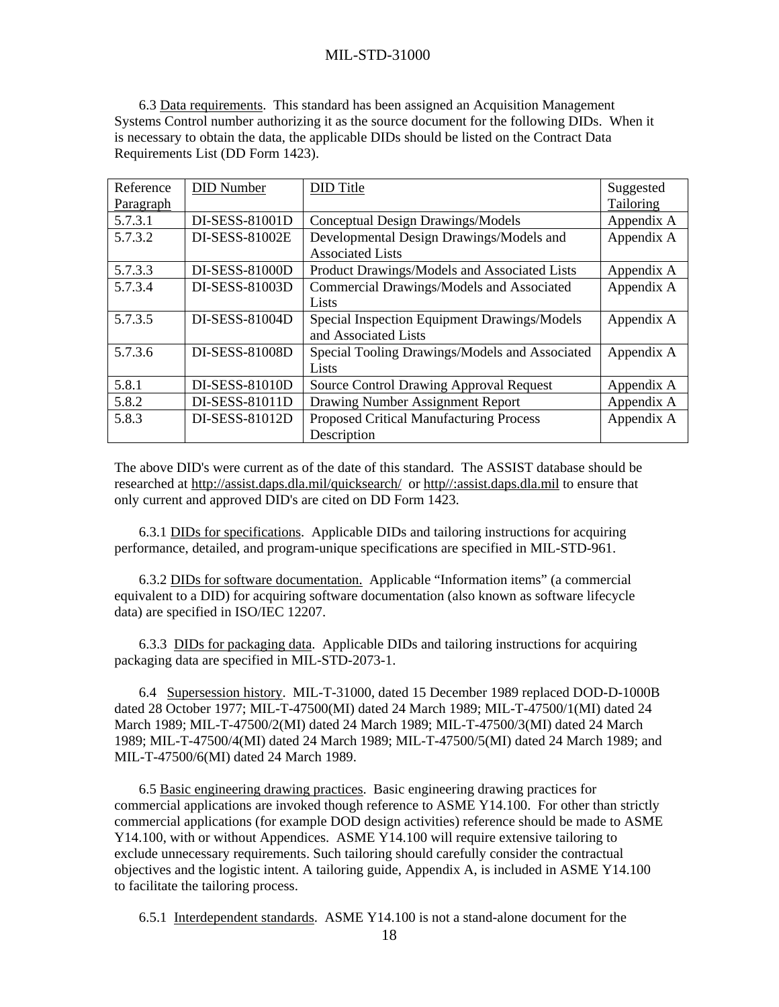6.3 Data requirements. This standard has been assigned an Acquisition Management Systems Control number authorizing it as the source document for the following DIDs. When it is necessary to obtain the data, the applicable DIDs should be listed on the Contract Data Requirements List (DD Form 1423).

| Reference | <b>DID</b> Number | DID Title                                      | Suggested  |
|-----------|-------------------|------------------------------------------------|------------|
| Paragraph |                   |                                                | Tailoring  |
| 5.7.3.1   | DI-SESS-81001D    | Conceptual Design Drawings/Models              | Appendix A |
| 5.7.3.2   | DI-SESS-81002E    | Developmental Design Drawings/Models and       | Appendix A |
|           |                   | <b>Associated Lists</b>                        |            |
| 5.7.3.3   | DI-SESS-81000D    | Product Drawings/Models and Associated Lists   | Appendix A |
| 5.7.3.4   | DI-SESS-81003D    | Commercial Drawings/Models and Associated      | Appendix A |
|           |                   | Lists                                          |            |
| 5.7.3.5   | DI-SESS-81004D    | Special Inspection Equipment Drawings/Models   | Appendix A |
|           |                   | and Associated Lists                           |            |
| 5.7.3.6   | DI-SESS-81008D    | Special Tooling Drawings/Models and Associated | Appendix A |
|           |                   | Lists                                          |            |
| 5.8.1     | DI-SESS-81010D    | <b>Source Control Drawing Approval Request</b> | Appendix A |
| 5.8.2     | DI-SESS-81011D    | Drawing Number Assignment Report               | Appendix A |
| 5.8.3     | DI-SESS-81012D    | <b>Proposed Critical Manufacturing Process</b> | Appendix A |
|           |                   | Description                                    |            |

The above DID's were current as of the date of this standard. The ASSIST database should be researched at http://assist.daps.dla.mil/quicksearch/ or http//:assist.daps.dla.mil to ensure that only current and approved DID's are cited on DD Form 1423.

 6.3.1 DIDs for specifications. Applicable DIDs and tailoring instructions for acquiring performance, detailed, and program-unique specifications are specified in MIL-STD-961.

 6.3.2 DIDs for software documentation. Applicable "Information items" (a commercial equivalent to a DID) for acquiring software documentation (also known as software lifecycle data) are specified in ISO/IEC 12207.

 6.3.3 DIDs for packaging data. Applicable DIDs and tailoring instructions for acquiring packaging data are specified in MIL-STD-2073-1.

 6.4 Supersession history. MIL-T-31000, dated 15 December 1989 replaced DOD-D-1000B dated 28 October 1977; MIL-T-47500(MI) dated 24 March 1989; MIL-T-47500/1(MI) dated 24 March 1989; MIL-T-47500/2(MI) dated 24 March 1989; MIL-T-47500/3(MI) dated 24 March 1989; MIL-T-47500/4(MI) dated 24 March 1989; MIL-T-47500/5(MI) dated 24 March 1989; and MIL-T-47500/6(MI) dated 24 March 1989.

 6.5 Basic engineering drawing practices. Basic engineering drawing practices for commercial applications are invoked though reference to ASME Y14.100. For other than strictly commercial applications (for example DOD design activities) reference should be made to ASME Y14.100, with or without Appendices. ASME Y14.100 will require extensive tailoring to exclude unnecessary requirements. Such tailoring should carefully consider the contractual objectives and the logistic intent. A tailoring guide, Appendix A, is included in ASME Y14.100 to facilitate the tailoring process.

6.5.1 Interdependent standards. ASME Y14.100 is not a stand-alone document for the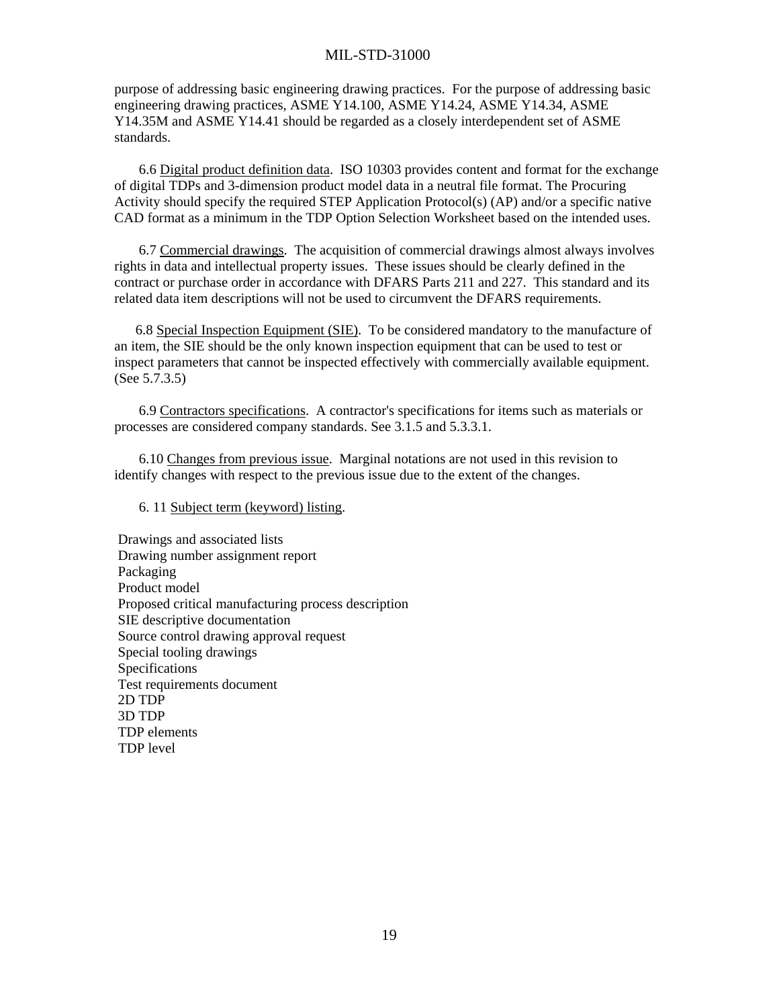purpose of addressing basic engineering drawing practices. For the purpose of addressing basic engineering drawing practices, ASME Y14.100, ASME Y14.24, ASME Y14.34, ASME Y14.35M and ASME Y14.41 should be regarded as a closely interdependent set of ASME standards.

 6.6 Digital product definition data. ISO 10303 provides content and format for the exchange of digital TDPs and 3-dimension product model data in a neutral file format. The Procuring Activity should specify the required STEP Application Protocol(s) (AP) and/or a specific native CAD format as a minimum in the TDP Option Selection Worksheet based on the intended uses.

 6.7 Commercial drawings. The acquisition of commercial drawings almost always involves rights in data and intellectual property issues. These issues should be clearly defined in the contract or purchase order in accordance with DFARS Parts 211 and 227. This standard and its related data item descriptions will not be used to circumvent the DFARS requirements.

 6.8 Special Inspection Equipment (SIE). To be considered mandatory to the manufacture of an item, the SIE should be the only known inspection equipment that can be used to test or inspect parameters that cannot be inspected effectively with commercially available equipment. (See 5.7.3.5)

 6.9 Contractors specifications. A contractor's specifications for items such as materials or processes are considered company standards. See 3.1.5 and 5.3.3.1.

 6.10 Changes from previous issue. Marginal notations are not used in this revision to identify changes with respect to the previous issue due to the extent of the changes.

#### 6. 11 Subject term (keyword) listing.

 Drawings and associated lists Drawing number assignment report Packaging Product model Proposed critical manufacturing process description SIE descriptive documentation Source control drawing approval request Special tooling drawings Specifications Test requirements document 2D TDP 3D TDP TDP elements TDP level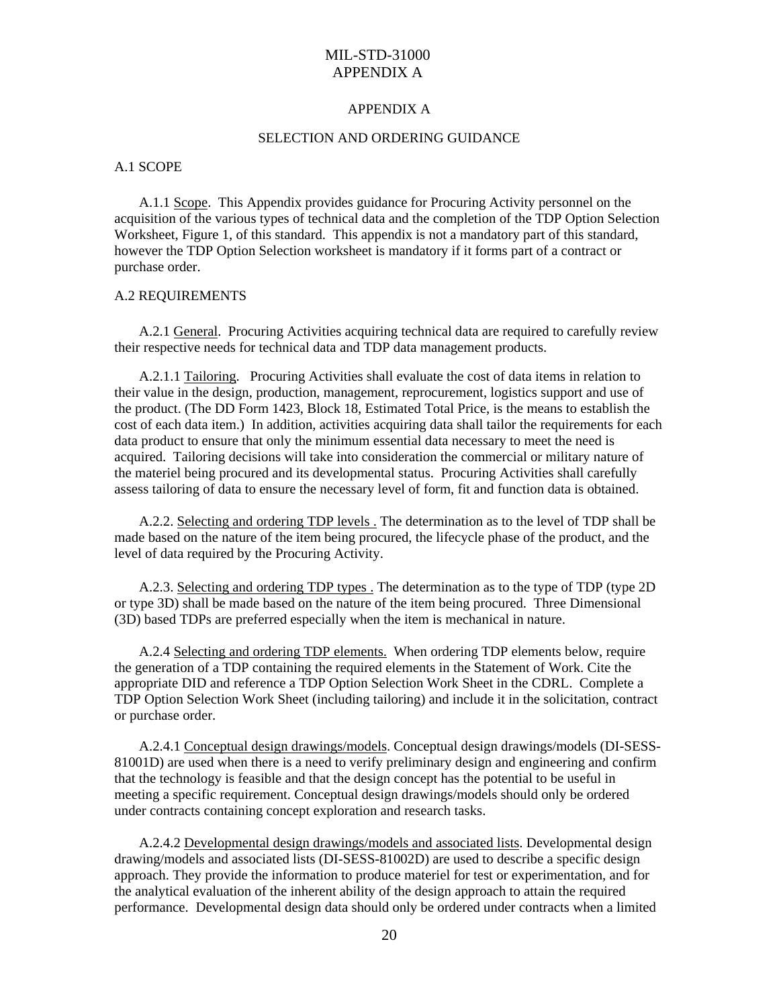#### APPENDIX A

#### SELECTION AND ORDERING GUIDANCE

#### A.1 SCOPE

 A.1.1 Scope. This Appendix provides guidance for Procuring Activity personnel on the acquisition of the various types of technical data and the completion of the TDP Option Selection Worksheet, Figure 1, of this standard. This appendix is not a mandatory part of this standard, however the TDP Option Selection worksheet is mandatory if it forms part of a contract or purchase order.

#### A.2 REQUIREMENTS

 A.2.1 General. Procuring Activities acquiring technical data are required to carefully review their respective needs for technical data and TDP data management products.

 A.2.1.1 Tailoring. Procuring Activities shall evaluate the cost of data items in relation to their value in the design, production, management, reprocurement, logistics support and use of the product. (The DD Form 1423, Block 18, Estimated Total Price, is the means to establish the cost of each data item.) In addition, activities acquiring data shall tailor the requirements for each data product to ensure that only the minimum essential data necessary to meet the need is acquired. Tailoring decisions will take into consideration the commercial or military nature of the materiel being procured and its developmental status. Procuring Activities shall carefully assess tailoring of data to ensure the necessary level of form, fit and function data is obtained.

 A.2.2. Selecting and ordering TDP levels . The determination as to the level of TDP shall be made based on the nature of the item being procured, the lifecycle phase of the product, and the level of data required by the Procuring Activity.

 A.2.3. Selecting and ordering TDP types . The determination as to the type of TDP (type 2D or type 3D) shall be made based on the nature of the item being procured. Three Dimensional (3D) based TDPs are preferred especially when the item is mechanical in nature.

 A.2.4 Selecting and ordering TDP elements. When ordering TDP elements below, require the generation of a TDP containing the required elements in the Statement of Work. Cite the appropriate DID and reference a TDP Option Selection Work Sheet in the CDRL. Complete a TDP Option Selection Work Sheet (including tailoring) and include it in the solicitation, contract or purchase order.

 A.2.4.1 Conceptual design drawings/models. Conceptual design drawings/models (DI-SESS-81001D) are used when there is a need to verify preliminary design and engineering and confirm that the technology is feasible and that the design concept has the potential to be useful in meeting a specific requirement. Conceptual design drawings/models should only be ordered under contracts containing concept exploration and research tasks.

 A.2.4.2 Developmental design drawings/models and associated lists. Developmental design drawing/models and associated lists (DI-SESS-81002D) are used to describe a specific design approach. They provide the information to produce materiel for test or experimentation, and for the analytical evaluation of the inherent ability of the design approach to attain the required performance. Developmental design data should only be ordered under contracts when a limited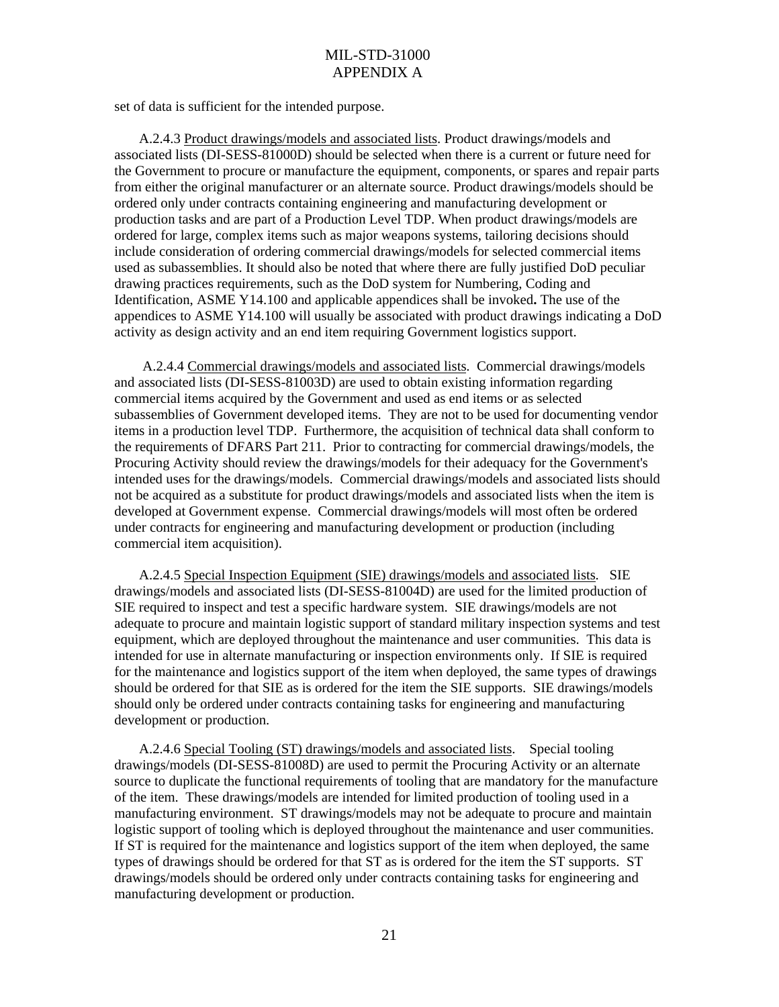set of data is sufficient for the intended purpose.

 A.2.4.3 Product drawings/models and associated lists. Product drawings/models and associated lists (DI-SESS-81000D) should be selected when there is a current or future need for the Government to procure or manufacture the equipment, components, or spares and repair parts from either the original manufacturer or an alternate source. Product drawings/models should be ordered only under contracts containing engineering and manufacturing development or production tasks and are part of a Production Level TDP. When product drawings/models are ordered for large, complex items such as major weapons systems, tailoring decisions should include consideration of ordering commercial drawings/models for selected commercial items used as subassemblies. It should also be noted that where there are fully justified DoD peculiar drawing practices requirements, such as the DoD system for Numbering, Coding and Identification, ASME Y14.100 and applicable appendices shall be invoked**.** The use of the appendices to ASME Y14.100 will usually be associated with product drawings indicating a DoD activity as design activity and an end item requiring Government logistics support.

 A.2.4.4 Commercial drawings/models and associated lists. Commercial drawings/models and associated lists (DI-SESS-81003D) are used to obtain existing information regarding commercial items acquired by the Government and used as end items or as selected subassemblies of Government developed items. They are not to be used for documenting vendor items in a production level TDP. Furthermore, the acquisition of technical data shall conform to the requirements of DFARS Part 211. Prior to contracting for commercial drawings/models, the Procuring Activity should review the drawings/models for their adequacy for the Government's intended uses for the drawings/models. Commercial drawings/models and associated lists should not be acquired as a substitute for product drawings/models and associated lists when the item is developed at Government expense. Commercial drawings/models will most often be ordered under contracts for engineering and manufacturing development or production (including commercial item acquisition).

 A.2.4.5 Special Inspection Equipment (SIE) drawings/models and associated lists. SIE drawings/models and associated lists (DI-SESS-81004D) are used for the limited production of SIE required to inspect and test a specific hardware system. SIE drawings/models are not adequate to procure and maintain logistic support of standard military inspection systems and test equipment, which are deployed throughout the maintenance and user communities. This data is intended for use in alternate manufacturing or inspection environments only. If SIE is required for the maintenance and logistics support of the item when deployed, the same types of drawings should be ordered for that SIE as is ordered for the item the SIE supports. SIE drawings/models should only be ordered under contracts containing tasks for engineering and manufacturing development or production.

 A.2.4.6 Special Tooling (ST) drawings/models and associated lists. Special tooling drawings/models (DI-SESS-81008D) are used to permit the Procuring Activity or an alternate source to duplicate the functional requirements of tooling that are mandatory for the manufacture of the item. These drawings/models are intended for limited production of tooling used in a manufacturing environment. ST drawings/models may not be adequate to procure and maintain logistic support of tooling which is deployed throughout the maintenance and user communities. If ST is required for the maintenance and logistics support of the item when deployed, the same types of drawings should be ordered for that ST as is ordered for the item the ST supports. ST drawings/models should be ordered only under contracts containing tasks for engineering and manufacturing development or production.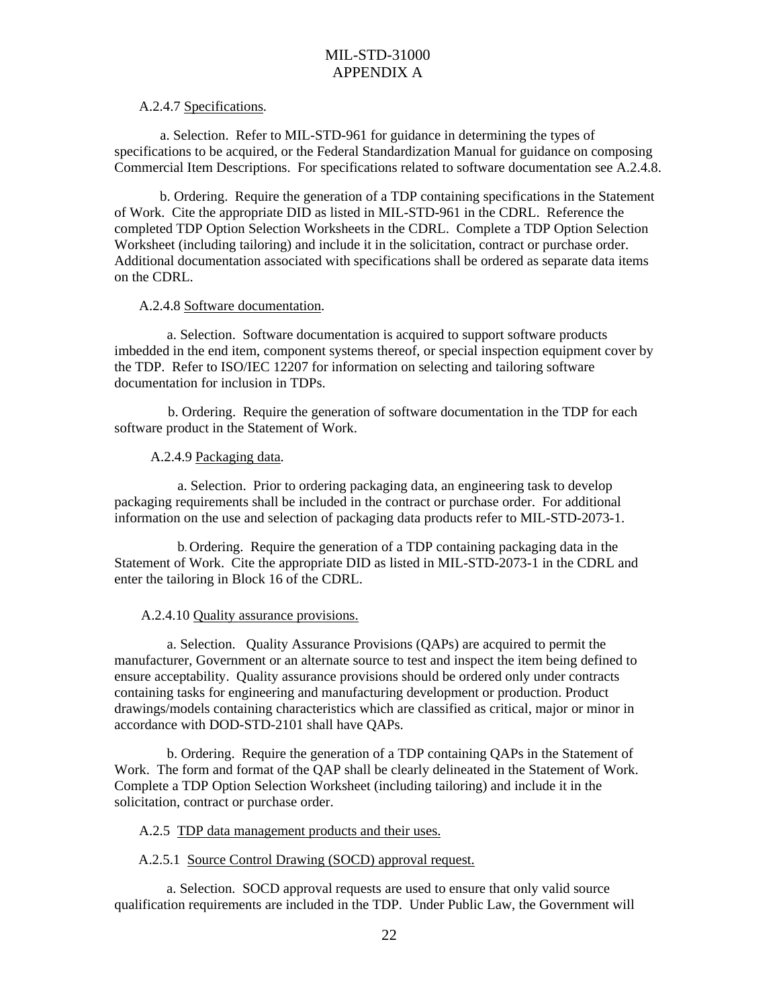#### A.2.4.7 Specifications.

 a. Selection. Refer to MIL-STD-961 for guidance in determining the types of specifications to be acquired, or the Federal Standardization Manual for guidance on composing Commercial Item Descriptions. For specifications related to software documentation see A.2.4.8.

 b. Ordering. Require the generation of a TDP containing specifications in the Statement of Work. Cite the appropriate DID as listed in MIL-STD-961 in the CDRL. Reference the completed TDP Option Selection Worksheets in the CDRL. Complete a TDP Option Selection Worksheet (including tailoring) and include it in the solicitation, contract or purchase order. Additional documentation associated with specifications shall be ordered as separate data items on the CDRL.

#### A.2.4.8 Software documentation.

 a. Selection. Software documentation is acquired to support software products imbedded in the end item, component systems thereof, or special inspection equipment cover by the TDP. Refer to ISO/IEC 12207 for information on selecting and tailoring software documentation for inclusion in TDPs.

 b. Ordering. Require the generation of software documentation in the TDP for each software product in the Statement of Work.

## A.2.4.9 Packaging data.

 a. Selection. Prior to ordering packaging data, an engineering task to develop packaging requirements shall be included in the contract or purchase order. For additional information on the use and selection of packaging data products refer to MIL-STD-2073-1.

 b. Ordering. Require the generation of a TDP containing packaging data in the Statement of Work. Cite the appropriate DID as listed in MIL-STD-2073-1 in the CDRL and enter the tailoring in Block 16 of the CDRL.

## A.2.4.10 Quality assurance provisions.

 a. Selection. Quality Assurance Provisions (QAPs) are acquired to permit the manufacturer, Government or an alternate source to test and inspect the item being defined to ensure acceptability. Quality assurance provisions should be ordered only under contracts containing tasks for engineering and manufacturing development or production. Product drawings/models containing characteristics which are classified as critical, major or minor in accordance with DOD-STD-2101 shall have QAPs.

 b. Ordering. Require the generation of a TDP containing QAPs in the Statement of Work. The form and format of the QAP shall be clearly delineated in the Statement of Work. Complete a TDP Option Selection Worksheet (including tailoring) and include it in the solicitation, contract or purchase order.

## A.2.5 TDP data management products and their uses.

## A.2.5.1 Source Control Drawing (SOCD) approval request.

 a. Selection. SOCD approval requests are used to ensure that only valid source qualification requirements are included in the TDP. Under Public Law, the Government will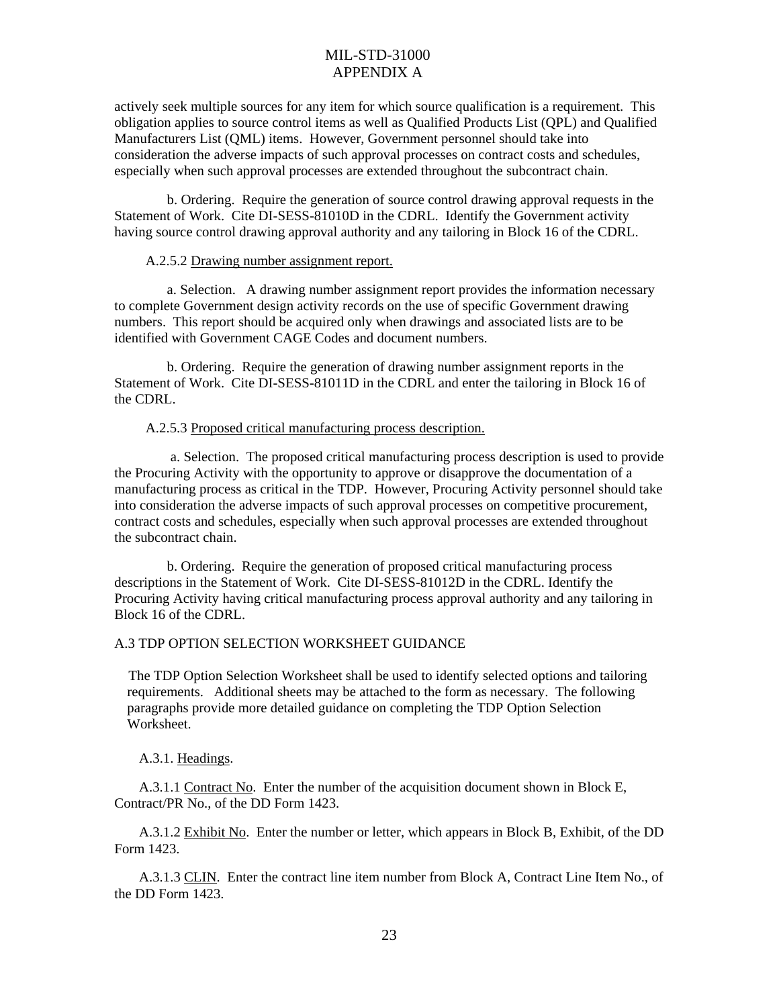actively seek multiple sources for any item for which source qualification is a requirement. This obligation applies to source control items as well as Qualified Products List (QPL) and Qualified Manufacturers List (QML) items. However, Government personnel should take into consideration the adverse impacts of such approval processes on contract costs and schedules, especially when such approval processes are extended throughout the subcontract chain.

 b. Ordering. Require the generation of source control drawing approval requests in the Statement of Work. Cite DI-SESS-81010D in the CDRL. Identify the Government activity having source control drawing approval authority and any tailoring in Block 16 of the CDRL.

#### A.2.5.2 Drawing number assignment report.

 a. Selection. A drawing number assignment report provides the information necessary to complete Government design activity records on the use of specific Government drawing numbers. This report should be acquired only when drawings and associated lists are to be identified with Government CAGE Codes and document numbers.

 b. Ordering. Require the generation of drawing number assignment reports in the Statement of Work. Cite DI-SESS-81011D in the CDRL and enter the tailoring in Block 16 of the CDRL.

#### A.2.5.3 Proposed critical manufacturing process description.

 a. Selection. The proposed critical manufacturing process description is used to provide the Procuring Activity with the opportunity to approve or disapprove the documentation of a manufacturing process as critical in the TDP. However, Procuring Activity personnel should take into consideration the adverse impacts of such approval processes on competitive procurement, contract costs and schedules, especially when such approval processes are extended throughout the subcontract chain.

 b. Ordering. Require the generation of proposed critical manufacturing process descriptions in the Statement of Work. Cite DI-SESS-81012D in the CDRL. Identify the Procuring Activity having critical manufacturing process approval authority and any tailoring in Block 16 of the CDRL.

## A.3 TDP OPTION SELECTION WORKSHEET GUIDANCE

 The TDP Option Selection Worksheet shall be used to identify selected options and tailoring requirements. Additional sheets may be attached to the form as necessary. The following paragraphs provide more detailed guidance on completing the TDP Option Selection Worksheet.

A.3.1. Headings.

 A.3.1.1 Contract No. Enter the number of the acquisition document shown in Block E, Contract/PR No., of the DD Form 1423.

 A.3.1.2 Exhibit No. Enter the number or letter, which appears in Block B, Exhibit, of the DD Form 1423.

 A.3.1.3 CLIN. Enter the contract line item number from Block A, Contract Line Item No., of the DD Form 1423.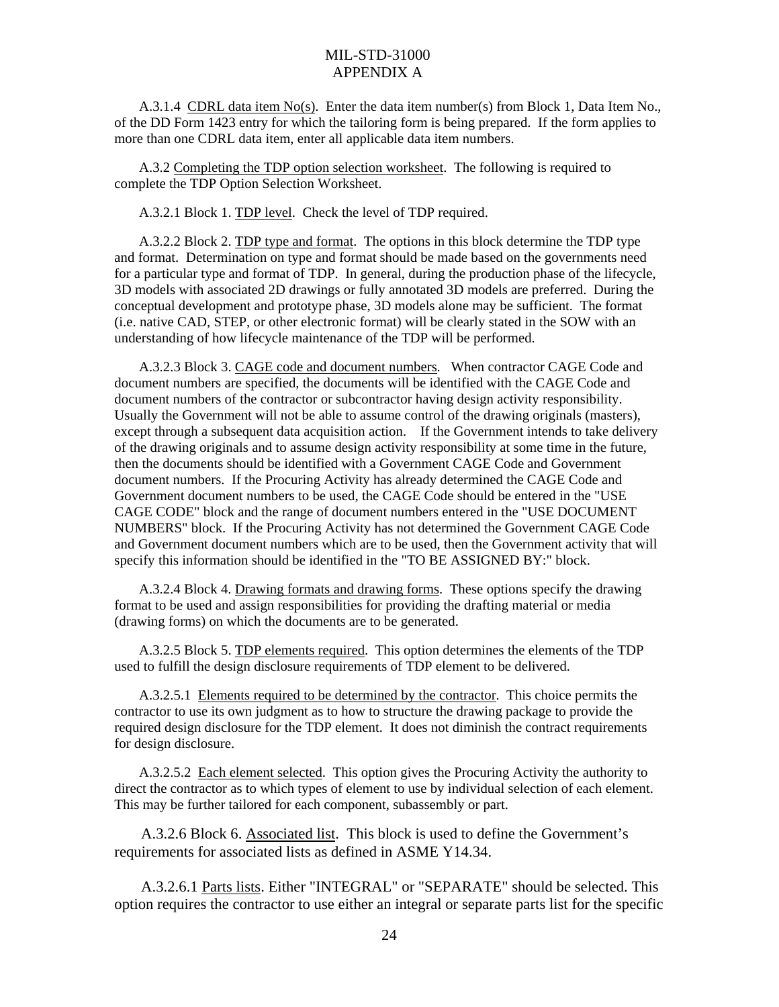A.3.1.4 CDRL data item No(s). Enter the data item number(s) from Block 1, Data Item No., of the DD Form 1423 entry for which the tailoring form is being prepared. If the form applies to more than one CDRL data item, enter all applicable data item numbers.

 A.3.2 Completing the TDP option selection worksheet. The following is required to complete the TDP Option Selection Worksheet.

A.3.2.1 Block 1. TDP level. Check the level of TDP required.

 A.3.2.2 Block 2. TDP type and format. The options in this block determine the TDP type and format. Determination on type and format should be made based on the governments need for a particular type and format of TDP. In general, during the production phase of the lifecycle, 3D models with associated 2D drawings or fully annotated 3D models are preferred. During the conceptual development and prototype phase, 3D models alone may be sufficient. The format (i.e. native CAD, STEP, or other electronic format) will be clearly stated in the SOW with an understanding of how lifecycle maintenance of the TDP will be performed.

 A.3.2.3 Block 3. CAGE code and document numbers. When contractor CAGE Code and document numbers are specified, the documents will be identified with the CAGE Code and document numbers of the contractor or subcontractor having design activity responsibility. Usually the Government will not be able to assume control of the drawing originals (masters), except through a subsequent data acquisition action. If the Government intends to take delivery of the drawing originals and to assume design activity responsibility at some time in the future, then the documents should be identified with a Government CAGE Code and Government document numbers. If the Procuring Activity has already determined the CAGE Code and Government document numbers to be used, the CAGE Code should be entered in the "USE CAGE CODE" block and the range of document numbers entered in the "USE DOCUMENT NUMBERS" block. If the Procuring Activity has not determined the Government CAGE Code and Government document numbers which are to be used, then the Government activity that will specify this information should be identified in the "TO BE ASSIGNED BY:" block.

 A.3.2.4 Block 4. Drawing formats and drawing forms. These options specify the drawing format to be used and assign responsibilities for providing the drafting material or media (drawing forms) on which the documents are to be generated.

 A.3.2.5 Block 5. TDP elements required. This option determines the elements of the TDP used to fulfill the design disclosure requirements of TDP element to be delivered.

 A.3.2.5.1 Elements required to be determined by the contractor. This choice permits the contractor to use its own judgment as to how to structure the drawing package to provide the required design disclosure for the TDP element. It does not diminish the contract requirements for design disclosure.

 A.3.2.5.2 Each element selected. This option gives the Procuring Activity the authority to direct the contractor as to which types of element to use by individual selection of each element. This may be further tailored for each component, subassembly or part.

 A.3.2.6 Block 6. Associated list. This block is used to define the Government's requirements for associated lists as defined in ASME Y14.34.

 A.3.2.6.1 Parts lists. Either "INTEGRAL" or "SEPARATE" should be selected. This option requires the contractor to use either an integral or separate parts list for the specific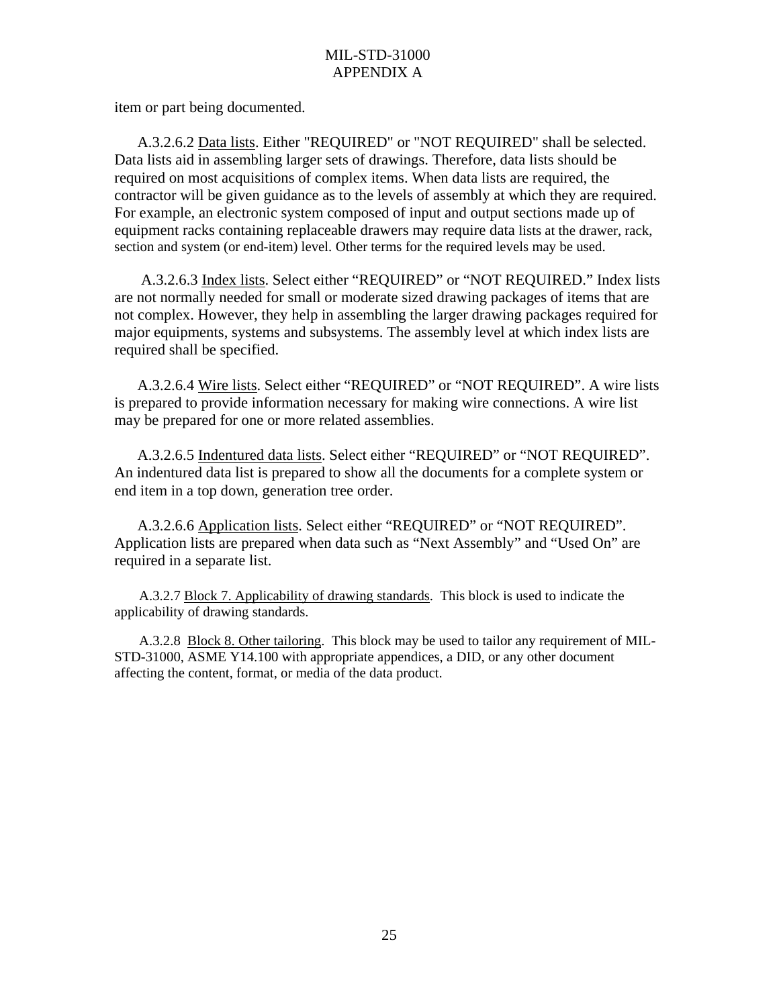item or part being documented.

 A.3.2.6.2 Data lists. Either "REQUIRED" or "NOT REQUIRED" shall be selected. Data lists aid in assembling larger sets of drawings. Therefore, data lists should be required on most acquisitions of complex items. When data lists are required, the contractor will be given guidance as to the levels of assembly at which they are required. For example, an electronic system composed of input and output sections made up of equipment racks containing replaceable drawers may require data lists at the drawer, rack, section and system (or end-item) level. Other terms for the required levels may be used.

 A.3.2.6.3 Index lists. Select either "REQUIRED" or "NOT REQUIRED." Index lists are not normally needed for small or moderate sized drawing packages of items that are not complex. However, they help in assembling the larger drawing packages required for major equipments, systems and subsystems. The assembly level at which index lists are required shall be specified.

 A.3.2.6.4 Wire lists. Select either "REQUIRED" or "NOT REQUIRED". A wire lists is prepared to provide information necessary for making wire connections. A wire list may be prepared for one or more related assemblies.

 A.3.2.6.5 Indentured data lists. Select either "REQUIRED" or "NOT REQUIRED". An indentured data list is prepared to show all the documents for a complete system or end item in a top down, generation tree order.

 A.3.2.6.6 Application lists. Select either "REQUIRED" or "NOT REQUIRED". Application lists are prepared when data such as "Next Assembly" and "Used On" are required in a separate list.

 A.3.2.7 Block 7. Applicability of drawing standards. This block is used to indicate the applicability of drawing standards.

 A.3.2.8 Block 8. Other tailoring. This block may be used to tailor any requirement of MIL-STD-31000, ASME Y14.100 with appropriate appendices, a DID, or any other document affecting the content, format, or media of the data product.